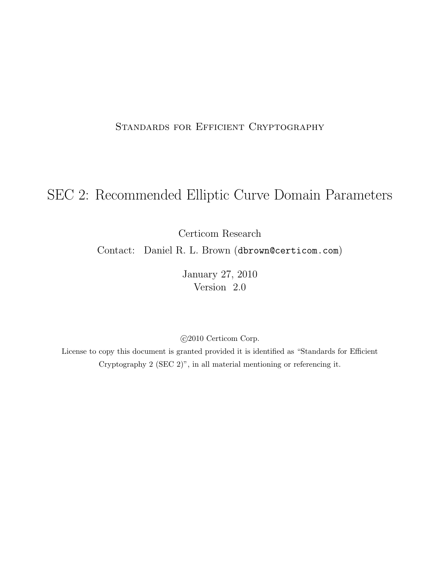### STANDARDS FOR EFFICIENT CRYPTOGRAPHY

# SEC 2: Recommended Elliptic Curve Domain Parameters

Certicom Research

Contact: Daniel R. L. Brown (dbrown@certicom.com)

January 27, 2010 Version 2.0

c 2010 Certicom Corp.

License to copy this document is granted provided it is identified as "Standards for Efficient Cryptography 2 (SEC 2)", in all material mentioning or referencing it.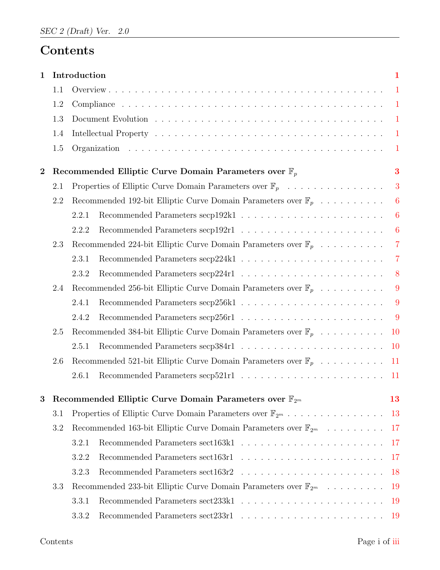# Contents

| 1                                                                                   |     | Introduction                                                                       | $\mathbf{1}$   |  |  |  |  |  |  |  |  |  |
|-------------------------------------------------------------------------------------|-----|------------------------------------------------------------------------------------|----------------|--|--|--|--|--|--|--|--|--|
|                                                                                     | 1.1 |                                                                                    | $\mathbf{1}$   |  |  |  |  |  |  |  |  |  |
|                                                                                     | 1.2 |                                                                                    | $\mathbf{1}$   |  |  |  |  |  |  |  |  |  |
|                                                                                     | 1.3 | $\overline{1}$                                                                     |                |  |  |  |  |  |  |  |  |  |
|                                                                                     | 1.4 |                                                                                    |                |  |  |  |  |  |  |  |  |  |
|                                                                                     | 1.5 |                                                                                    | $\mathbf{1}$   |  |  |  |  |  |  |  |  |  |
| $\bf{2}$                                                                            |     | Recommended Elliptic Curve Domain Parameters over $\mathbb{F}_p$                   | 3              |  |  |  |  |  |  |  |  |  |
|                                                                                     | 2.1 | Properties of Elliptic Curve Domain Parameters over $\mathbb{F}_p$                 | 3              |  |  |  |  |  |  |  |  |  |
|                                                                                     | 2.2 | Recommended 192-bit Elliptic Curve Domain Parameters over $\mathbb{F}_p$           | 6              |  |  |  |  |  |  |  |  |  |
|                                                                                     |     | 2.2.1                                                                              | $\overline{6}$ |  |  |  |  |  |  |  |  |  |
|                                                                                     |     | 2.2.2                                                                              | 6              |  |  |  |  |  |  |  |  |  |
|                                                                                     | 2.3 | Recommended 224-bit Elliptic Curve Domain Parameters over $\mathbb{F}_p$           | $\overline{7}$ |  |  |  |  |  |  |  |  |  |
|                                                                                     |     | 2.3.1                                                                              | $\overline{7}$ |  |  |  |  |  |  |  |  |  |
|                                                                                     |     | 2.3.2                                                                              | 8              |  |  |  |  |  |  |  |  |  |
|                                                                                     | 2.4 | Recommended 256-bit Elliptic Curve Domain Parameters over $\mathbb{F}_p$           | 9              |  |  |  |  |  |  |  |  |  |
|                                                                                     |     | 2.4.1                                                                              | 9              |  |  |  |  |  |  |  |  |  |
|                                                                                     |     | 2.4.2                                                                              | 9              |  |  |  |  |  |  |  |  |  |
|                                                                                     | 2.5 | Recommended 384-bit Elliptic Curve Domain Parameters over $\mathbb{F}_p$<br>10     |                |  |  |  |  |  |  |  |  |  |
|                                                                                     |     | 2.5.1<br><b>10</b>                                                                 |                |  |  |  |  |  |  |  |  |  |
|                                                                                     | 2.6 | Recommended 521-bit Elliptic Curve Domain Parameters over $\mathbb{F}_p$<br>11     |                |  |  |  |  |  |  |  |  |  |
|                                                                                     |     | 2.6.1<br>11                                                                        |                |  |  |  |  |  |  |  |  |  |
| 3                                                                                   |     | Recommended Elliptic Curve Domain Parameters over $\mathbb{F}_{2^m}$<br>13         |                |  |  |  |  |  |  |  |  |  |
|                                                                                     | 3.1 | Properties of Elliptic Curve Domain Parameters over $\mathbb{F}_{2^m}$<br>13       |                |  |  |  |  |  |  |  |  |  |
| 3.2<br>Recommended 163-bit Elliptic Curve Domain Parameters over $\mathbb{F}_{2^m}$ |     |                                                                                    |                |  |  |  |  |  |  |  |  |  |
|                                                                                     |     | 17<br>3.2.1                                                                        |                |  |  |  |  |  |  |  |  |  |
|                                                                                     |     | 3.2.2<br>17                                                                        |                |  |  |  |  |  |  |  |  |  |
|                                                                                     |     | 3.2.3<br><b>18</b>                                                                 |                |  |  |  |  |  |  |  |  |  |
|                                                                                     | 3.3 | Recommended 233-bit Elliptic Curve Domain Parameters over $\mathbb{F}_{2^m}$<br>19 |                |  |  |  |  |  |  |  |  |  |
|                                                                                     |     | 3.3.1<br>19                                                                        |                |  |  |  |  |  |  |  |  |  |
|                                                                                     |     | 3.3.2<br>19                                                                        |                |  |  |  |  |  |  |  |  |  |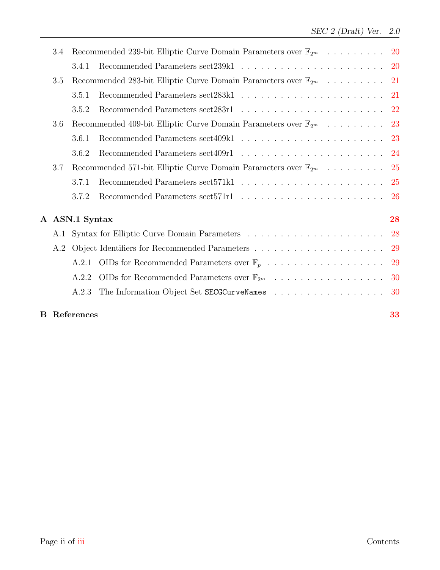|     | 3.4 | Recommended 239-bit Elliptic Curve Domain Parameters over $\mathbb{F}_{2^m}$<br>-20 |                                                                                 |               |  |  |  |  |  |  |
|-----|-----|-------------------------------------------------------------------------------------|---------------------------------------------------------------------------------|---------------|--|--|--|--|--|--|
|     |     | 3.4.1                                                                               |                                                                                 | -20           |  |  |  |  |  |  |
| 3.5 |     |                                                                                     |                                                                                 |               |  |  |  |  |  |  |
|     |     | 3.5.1                                                                               |                                                                                 |               |  |  |  |  |  |  |
|     |     | 3.5.2                                                                               |                                                                                 |               |  |  |  |  |  |  |
|     | 3.6 |                                                                                     | Recommended 409-bit Elliptic Curve Domain Parameters over $\mathbb{F}_{2^m}$ 23 |               |  |  |  |  |  |  |
|     |     | 3.6.1                                                                               |                                                                                 | 23            |  |  |  |  |  |  |
|     |     | 3.6.2                                                                               |                                                                                 | -24           |  |  |  |  |  |  |
|     | 3.7 | Recommended 571-bit Elliptic Curve Domain Parameters over $\mathbb{F}_{2^m}$        |                                                                                 |               |  |  |  |  |  |  |
|     |     | 3.7.1                                                                               |                                                                                 | 25            |  |  |  |  |  |  |
|     |     | 3.7.2                                                                               |                                                                                 | <sup>26</sup> |  |  |  |  |  |  |
|     |     | A ASN.1 Syntax                                                                      |                                                                                 | 28            |  |  |  |  |  |  |
|     | A.1 |                                                                                     |                                                                                 | 28            |  |  |  |  |  |  |
|     | A.2 |                                                                                     |                                                                                 | 29            |  |  |  |  |  |  |
|     |     | A.2.1                                                                               | OIDs for Recommended Parameters over $\mathbb{F}_p$                             | <b>29</b>     |  |  |  |  |  |  |
|     |     | A.2.2                                                                               | OIDs for Recommended Parameters over $\mathbb{F}_{2^m}$                         | 30            |  |  |  |  |  |  |
|     |     | A.2.3                                                                               |                                                                                 | -30           |  |  |  |  |  |  |
|     |     | <b>B</b> References                                                                 |                                                                                 | 33            |  |  |  |  |  |  |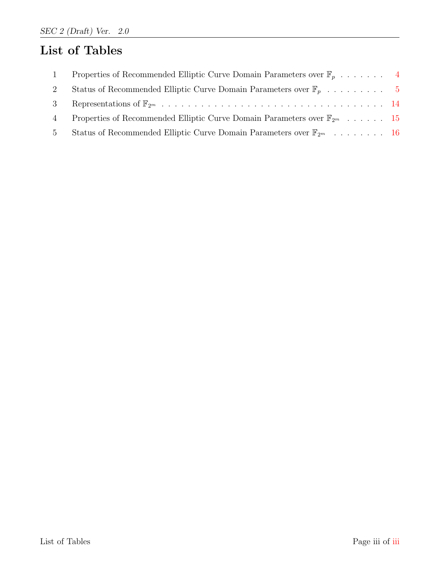# List of Tables

<span id="page-3-0"></span>

| $\mathbf{1}$   | Properties of Recommended Elliptic Curve Domain Parameters over $\mathbb{F}_n$ 4      |  |
|----------------|---------------------------------------------------------------------------------------|--|
| 2              |                                                                                       |  |
|                |                                                                                       |  |
| $\overline{4}$ | Properties of Recommended Elliptic Curve Domain Parameters over $\mathbb{F}_{2^m}$ 15 |  |
| $5\quad$       | Status of Recommended Elliptic Curve Domain Parameters over $\mathbb{F}_{2^m}$ 16     |  |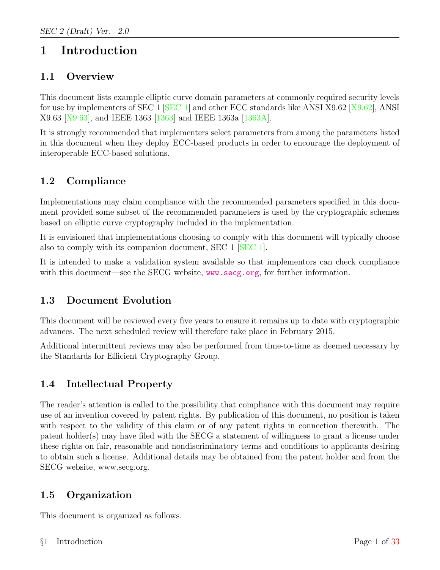# <span id="page-4-0"></span>1 Introduction

# <span id="page-4-1"></span>1.1 Overview

This document lists example elliptic curve domain parameters at commonly required security levels for use by implementers of SEC 1 [\[SEC 1\]](#page-35-1) and other ECC standards like ANSI X9.62 [\[X9.62\]](#page-35-2), ANSI X9.63 [\[X9.63\]](#page-35-3), and IEEE 1363 [\[1363\]](#page-35-4) and IEEE 1363a [\[1363A\]](#page-35-5).

It is strongly recommended that implementers select parameters from among the parameters listed in this document when they deploy ECC-based products in order to encourage the deployment of interoperable ECC-based solutions.

# <span id="page-4-2"></span>1.2 Compliance

Implementations may claim compliance with the recommended parameters specified in this document provided some subset of the recommended parameters is used by the cryptographic schemes based on elliptic curve cryptography included in the implementation.

It is envisioned that implementations choosing to comply with this document will typically choose also to comply with its companion document, SEC 1 [\[SEC 1\]](#page-35-1).

It is intended to make a validation system available so that implementors can check compliance with this document—see the SECG website, <www.secg.org>, for further information.

# <span id="page-4-3"></span>1.3 Document Evolution

This document will be reviewed every five years to ensure it remains up to date with cryptographic advances. The next scheduled review will therefore take place in February 2015.

Additional intermittent reviews may also be performed from time-to-time as deemed necessary by the Standards for Efficient Cryptography Group.

# <span id="page-4-4"></span>1.4 Intellectual Property

The reader's attention is called to the possibility that compliance with this document may require use of an invention covered by patent rights. By publication of this document, no position is taken with respect to the validity of this claim or of any patent rights in connection therewith. The patent holder(s) may have filed with the SECG a statement of willingness to grant a license under these rights on fair, reasonable and nondiscriminatory terms and conditions to applicants desiring to obtain such a license. Additional details may be obtained from the patent holder and from the SECG website, www.secg.org.

### <span id="page-4-5"></span>1.5 Organization

This document is organized as follows.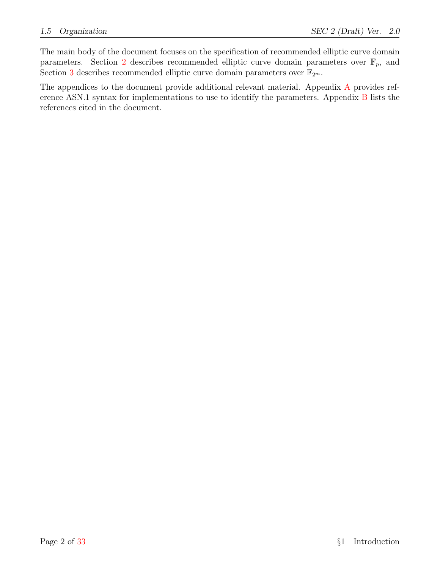The main body of the document focuses on the specification of recommended elliptic curve domain parameters. Section [2](#page-6-0) describes recommended elliptic curve domain parameters over  $\mathbb{F}_p$ , and Section [3](#page-16-0) describes recommended elliptic curve domain parameters over  $\mathbb{F}_{2^m}$ .

The appendices to the document provide additional relevant material. Appendix [A](#page-31-0) provides reference ASN.1 syntax for implementations to use to identify the parameters. Appendix [B](#page-35-6) lists the references cited in the document.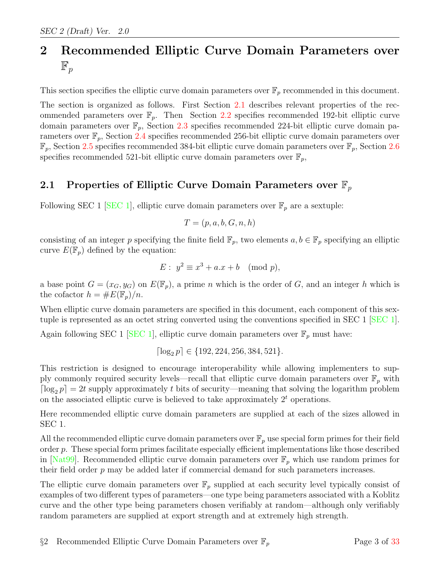# <span id="page-6-0"></span>2 Recommended Elliptic Curve Domain Parameters over  $\mathbb{F}_p$

This section specifies the elliptic curve domain parameters over  $\mathbb{F}_p$  recommended in this document.

The section is organized as follows. First Section [2.1](#page-6-1) describes relevant properties of the recommended parameters over  $\mathbb{F}_p$ . Then Section [2.2](#page-9-0) specifies recommended 192-bit elliptic curve domain parameters over  $\mathbb{F}_p$ , Section [2.3](#page-10-0) specifies recommended 224-bit elliptic curve domain parameters over  $\mathbb{F}_p$ , Section [2.4](#page-12-0) specifies recommended 256-bit elliptic curve domain parameters over  $\mathbb{F}_p$ , Section [2.5](#page-13-0) specifies recommended 384-bit elliptic curve domain parameters over  $\mathbb{F}_p$ , Section [2.6](#page-14-0) specifies recommended 521-bit elliptic curve domain parameters over  $\mathbb{F}_p$ ,

### <span id="page-6-1"></span>2.1 Properties of Elliptic Curve Domain Parameters over  $\mathbb{F}_p$

Following SEC 1 [\[SEC 1\]](#page-35-1), elliptic curve domain parameters over  $\mathbb{F}_p$  are a sextuple:

$$
T = (p, a, b, G, n, h)
$$

consisting of an integer p specifying the finite field  $\mathbb{F}_p$ , two elements  $a, b \in \mathbb{F}_p$  specifying an elliptic curve  $E(\mathbb{F}_p)$  defined by the equation:

$$
E: y^2 \equiv x^3 + a \cdot x + b \pmod{p},
$$

a base point  $G = (x_G, y_G)$  on  $E(\mathbb{F}_p)$ , a prime n which is the order of G, and an integer h which is the cofactor  $h = \#E(\mathbb{F}_p)/n$ .

When elliptic curve domain parameters are specified in this document, each component of this sextuple is represented as an octet string converted using the conventions specified in SEC 1 [\[SEC 1\]](#page-35-1).

Again following SEC 1 [\[SEC 1\]](#page-35-1), elliptic curve domain parameters over  $\mathbb{F}_p$  must have:

$$
\lceil \log_2 p \rceil \in \{192, 224, 256, 384, 521\}.
$$

This restriction is designed to encourage interoperability while allowing implementers to supply commonly required security levels—recall that elliptic curve domain parameters over  $\mathbb{F}_p$  with  $\lceil \log_2 p \rceil = 2t$  supply approximately t bits of security—meaning that solving the logarithm problem on the associated elliptic curve is believed to take approximately  $2<sup>t</sup>$  operations.

Here recommended elliptic curve domain parameters are supplied at each of the sizes allowed in SEC 1.

All the recommended elliptic curve domain parameters over  $\mathbb{F}_p$  use special form primes for their field order p. These special form primes facilitate especially efficient implementations like those described in [\[Nat99\]](#page-35-7). Recommended elliptic curve domain parameters over  $\mathbb{F}_p$  which use random primes for their field order  $p$  may be added later if commercial demand for such parameters increases.

The elliptic curve domain parameters over  $\mathbb{F}_p$  supplied at each security level typically consist of examples of two different types of parameters—one type being parameters associated with a Koblitz curve and the other type being parameters chosen verifiably at random—although only verifiably random parameters are supplied at export strength and at extremely high strength.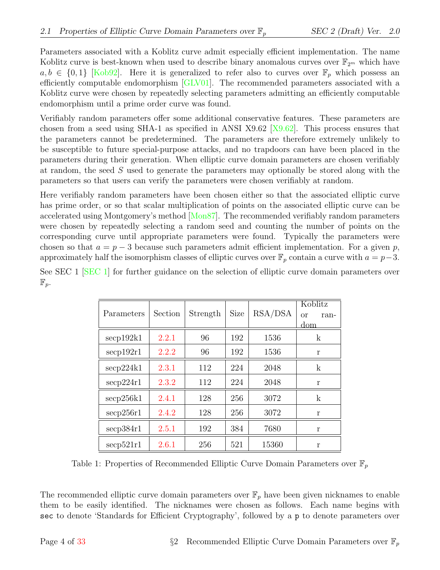Parameters associated with a Koblitz curve admit especially efficient implementation. The name Koblitz curve is best-known when used to describe binary anomalous curves over  $\mathbb{F}_{2^m}$  which have  $a, b \in \{0, 1\}$  [\[Kob92\]](#page-35-8). Here it is generalized to refer also to curves over  $\mathbb{F}_p$  which possess an efficiently computable endomorphism [\[GLV01\]](#page-35-9). The recommended parameters associated with a Koblitz curve were chosen by repeatedly selecting parameters admitting an efficiently computable endomorphism until a prime order curve was found.

Verifiably random parameters offer some additional conservative features. These parameters are chosen from a seed using SHA-1 as specified in ANSI X9.62 [\[X9.62\]](#page-35-2). This process ensures that the parameters cannot be predetermined. The parameters are therefore extremely unlikely to be susceptible to future special-purpose attacks, and no trapdoors can have been placed in the parameters during their generation. When elliptic curve domain parameters are chosen verifiably at random, the seed S used to generate the parameters may optionally be stored along with the parameters so that users can verify the parameters were chosen verifiably at random.

Here verifiably random parameters have been chosen either so that the associated elliptic curve has prime order, or so that scalar multiplication of points on the associated elliptic curve can be accelerated using Montgomery's method [\[Mon87\]](#page-36-1). The recommended verifiably random parameters were chosen by repeatedly selecting a random seed and counting the number of points on the corresponding curve until appropriate parameters were found. Typically the parameters were chosen so that  $a = p - 3$  because such parameters admit efficient implementation. For a given p, approximately half the isomorphism classes of elliptic curves over  $\mathbb{F}_p$  contain a curve with  $a = p-3$ .

|                  |  |  |  |  | See SEC 1 [SEC 1] for further guidance on the selection of elliptic curve domain parameters over |  |
|------------------|--|--|--|--|--------------------------------------------------------------------------------------------------|--|
| $\mathbb{F}_n$ . |  |  |  |  |                                                                                                  |  |

| Parameters                    | Section | Strength | <b>Size</b> | RSA/DSA | Koblitz<br><b>or</b><br>ran-<br>dom |
|-------------------------------|---------|----------|-------------|---------|-------------------------------------|
| secp192k1                     | 2.2.1   | 96       | 192         | 1536    | $\mathbf{k}$                        |
| $\rm{secp}192r1$              | 2.2.2   | 96       | 192         | 1536    | r                                   |
| $\secp224k1$                  | 2.3.1   | 112      | 224         | 2048    | $\mathbf k$                         |
| $\mathrm{secp}224\mathrm{r}1$ | 2.3.2   | 112      | 224         | 2048    | r                                   |
| $\mathrm{secp}256k1$          | 2.4.1   | 128      | 256         | 3072    | $\mathbf{k}$                        |
| $\mathrm{secp}256r1$          | 2.4.2   | 128      | 256         | 3072    | r                                   |
| secp384r1                     | 2.5.1   | 192      | 384         | 7680    | r                                   |
| $\mathrm{secp}521\mathrm{r}1$ | 2.6.1   | 256      | 521         | 15360   | r                                   |

<span id="page-7-0"></span>Table 1: Properties of Recommended Elliptic Curve Domain Parameters over  $\mathbb{F}_p$ 

The recommended elliptic curve domain parameters over  $\mathbb{F}_p$  have been given nicknames to enable them to be easily identified. The nicknames were chosen as follows. Each name begins with sec to denote 'Standards for Efficient Cryptography', followed by a p to denote parameters over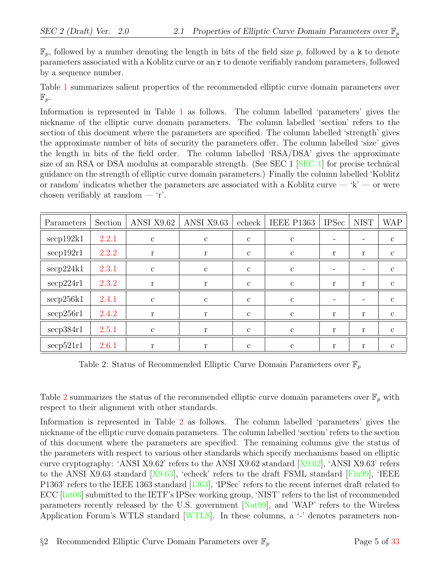$\mathbb{F}_p$ , followed by a number denoting the length in bits of the field size p, followed by a k to denote parameters associated with a Koblitz curve or an r to denote verifiably random parameters, followed by a sequence number.

Table [1](#page-7-0) summarizes salient properties of the recommended elliptic curve domain parameters over  $\mathbb{F}_p$ .

Information is represented in Table [1](#page-7-0) as follows. The column labelled 'parameters' gives the nickname of the elliptic curve domain parameters. The column labelled 'section' refers to the section of this document where the parameters are specified. The column labelled 'strength' gives the approximate number of bits of security the parameters offer. The column labelled 'size' gives the length in bits of the field order. The column labelled 'RSA/DSA' gives the approximate size of an RSA or DSA modulus at comparable strength. (See SEC 1 [\[SEC 1\]](#page-35-1) for precise technical guidance on the strength of elliptic curve domain parameters.) Finally the column labelled 'Koblitz or random' indicates whether the parameters are associated with a Koblitz curve — 'k' — or were chosen verifiably at random — 'r'.

| Parameters           | Section | ANSI X9.62    | ANSI X9.63   | echeck       | <b>IEEE P1363</b> | <b>IPSec</b> | <b>NIST</b> | <b>WAP</b>   |
|----------------------|---------|---------------|--------------|--------------|-------------------|--------------|-------------|--------------|
| $\mathrm{sep192k1}$  | 2.2.1   | $\mathbf{c}$  | $\mathbf{c}$ | $\mathbf{c}$ | $\mathbf{c}$      |              |             | $\mathbf{c}$ |
| $\mathrm{secp192r1}$ | 2.2.2   | r             | r            | $\mathbf{c}$ | $\mathbf{c}$      | r            | r           | $\mathbf{c}$ |
| $\mathrm{seq}224k1$  | 2.3.1   | $\mathbf{c}$  | $\mathbf{c}$ | $\mathbf{c}$ | $\mathbf{c}$      |              |             | $\mathbf{c}$ |
| $\secp224r1$         | 2.3.2   | r             | r            | $\mathbf{c}$ | $\mathbf{c}$      | r            | r           | $\mathbf{c}$ |
| $\mathrm{seq}256k1$  | 2.4.1   | $\mathbf{c}$  | $\mathbf{c}$ | $\mathbf{c}$ | $\mathbf{c}$      |              |             | $\mathbf{c}$ |
| $\rm{seq}256r1$      | 2.4.2   | r             | r            | $\mathbf{c}$ | $\mathbf{c}$      | r            | r           | $\mathbf{c}$ |
| $\mathrm{seq}384r1$  | 2.5.1   | $\mathcal{C}$ | r            | $\mathbf{c}$ | $\mathbf{c}$      | r            | r           | $\mathbf{c}$ |
| $\mathrm{seq}521r1$  | 2.6.1   |               |              | $\mathbf{c}$ | C                 | r            | r           | $\mathbf{c}$ |

<span id="page-8-0"></span>Table 2: Status of Recommended Elliptic Curve Domain Parameters over  $\mathbb{F}_p$ 

Table [2](#page-8-0) summarizes the status of the recommended elliptic curve domain parameters over  $\mathbb{F}_p$  with respect to their alignment with other standards.

Information is represented in Table [2](#page-8-0) as follows. The column labelled 'parameters' gives the nickname of the elliptic curve domain parameters. The column labelled 'section' refers to the section of this document where the parameters are specified. The remaining columns give the status of the parameters with respect to various other standards which specify mechanisms based on elliptic curve cryptography: 'ANSI X9.62' refers to the ANSI X9.62 standard  $[X9.62]$ , 'ANSI X9.63' refers to the ANSI X9.63 standard [\[X9.63\]](#page-35-3), 'echeck' refers to the draft FSML standard [\[Fin99\]](#page-35-10), 'IEEE P1363' refers to the IEEE 1363 standard [\[1363\]](#page-35-4), 'IPSec' refers to the recent internet draft related to ECC [\[Int06\]](#page-35-11) submitted to the IETF's IPSec working group, 'NIST' refers to the list of recommended parameters recently released by the U.S. government [\[Nat99\]](#page-35-7), and 'WAP' refers to the Wireless Application Forum's WTLS standard [\[WTLS\]](#page-35-12). In these columns, a '-' denotes parameters non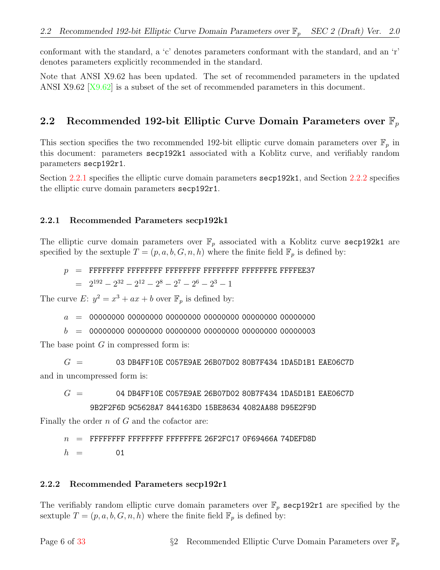conformant with the standard, a 'c' denotes parameters conformant with the standard, and an 'r' denotes parameters explicitly recommended in the standard.

Note that ANSI X9.62 has been updated. The set of recommended parameters in the updated ANSI X9.62 [\[X9.62\]](#page-35-2) is a subset of the set of recommended parameters in this document.

#### <span id="page-9-0"></span>2.2 Recommended 192-bit Elliptic Curve Domain Parameters over  $\mathbb{F}_p$

This section specifies the two recommended 192-bit elliptic curve domain parameters over  $\mathbb{F}_p$  in this document: parameters secp192k1 associated with a Koblitz curve, and verifiably random parameters secp192r1.

Section [2.2.1](#page-9-1) specifies the elliptic curve domain parameters secp192k1, and Section [2.2.2](#page-9-2) specifies the elliptic curve domain parameters secp192r1.

#### <span id="page-9-1"></span>2.2.1 Recommended Parameters secp192k1

The elliptic curve domain parameters over  $\mathbb{F}_p$  associated with a Koblitz curve secp192k1 are specified by the sextuple  $T = (p, a, b, G, n, h)$  where the finite field  $\mathbb{F}_p$  is defined by:

p = FFFFFFFF FFFFFFFF FFFFFFFF FFFFFFFF FFFFFFFE FFFFEE37

$$
= 2^{192} - 2^{32} - 2^{12} - 2^8 - 2^7 - 2^6 - 2^3 - 1
$$

The curve  $E: y^2 = x^3 + ax + b$  over  $\mathbb{F}_p$  is defined by:

a = 00000000 00000000 00000000 00000000 00000000 00000000

b = 00000000 00000000 00000000 00000000 00000000 00000003

The base point  $G$  in compressed form is:

 $G = 03$  DB4FF10E C057E9AE 26B07D02 80B7F434 1DA5D1B1 EAE06C7D and in uncompressed form is:

 $G = 04$  DB4FF10E CO57E9AE 26B07D02 80B7F434 1DA5D1B1 EAE06C7D 9B2F2F6D 9C5628A7 844163D0 15BE8634 4082AA88 D95E2F9D

Finally the order  $n$  of  $G$  and the cofactor are:

 $n =$  FFFFFFFFF FFFFFFFF FFFFFFFFE 26F2FC17 0F69466A 74DEFD8D

 $h = 01$ 

#### <span id="page-9-2"></span>2.2.2 Recommended Parameters secp192r1

The verifiably random elliptic curve domain parameters over  $\mathbb{F}_p$  secp192r1 are specified by the sextuple  $T = (p, a, b, G, n, h)$  where the finite field  $\mathbb{F}_p$  is defined by: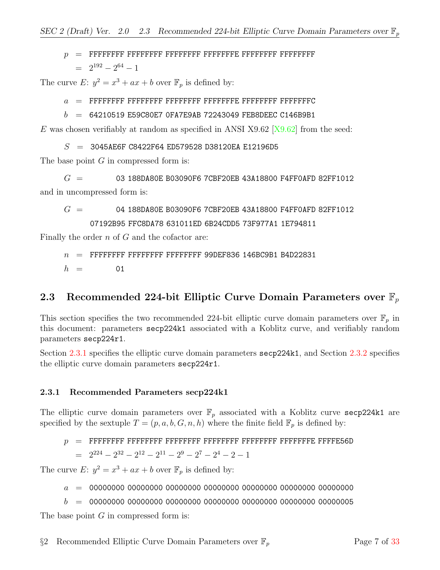# p = FFFFFFFF FFFFFFFF FFFFFFFF FFFFFFFE FFFFFFFF FFFFFFFF  $= 2^{192} - 2^{64} - 1$

The curve  $E: y^2 = x^3 + ax + b$  over  $\mathbb{F}_p$  is defined by:

a = FFFFFFFF FFFFFFFF FFFFFFFF FFFFFFFE FFFFFFFF FFFFFFFC

 $b = 64210519$  E59C80E7 OFA7E9AB 72243049 FEB8DEEC C146B9B1

E was chosen verifiably at random as specified in ANSI X9.62  $[X9.62]$  from the seed:

 $S = 3045AEGF C8422F64 ED579528 D38120EA E12196D5$ 

The base point  $G$  in compressed form is:

 $G = 03 188DA80E B03090F6 7CBF20EB 43A18800 F4FF0AFD 82FF1012$ and in uncompressed form is:

$$
G~= ~~04~188DA80E~B03090F6~7CBF20EB~43A18800~F4FF0AFD~82FF1012
$$
07192B95 FFC8DA78631011ED 6B24CDD5 73F977A1 1E794811

Finally the order  $n$  of  $G$  and the cofactor are:

 $n =$  FFFFFFFF FFFFFFFF FFFFFFFF 99DEF836 146BC9B1 B4D22831  $h = 01$ 

# <span id="page-10-0"></span>2.3 Recommended 224-bit Elliptic Curve Domain Parameters over  $\mathbb{F}_p$

This section specifies the two recommended 224-bit elliptic curve domain parameters over  $\mathbb{F}_p$  in this document: parameters secp224k1 associated with a Koblitz curve, and verifiably random parameters secp224r1.

Section [2.3.1](#page-10-1) specifies the elliptic curve domain parameters secp224k1, and Section [2.3.2](#page-11-0) specifies the elliptic curve domain parameters secp224r1.

#### <span id="page-10-1"></span>2.3.1 Recommended Parameters secp224k1

The elliptic curve domain parameters over  $\mathbb{F}_p$  associated with a Koblitz curve secp224k1 are specified by the sextuple  $T = (p, a, b, G, n, h)$  where the finite field  $\mathbb{F}_p$  is defined by:

p = FFFFFFFF FFFFFFFF FFFFFFFF FFFFFFFF FFFFFFFF FFFFFFFE FFFFE56D  $= 2^{224} - 2^{32} - 2^{12} - 2^{11} - 2^9 - 2^7 - 2^4 - 2 - 1$ 

The curve E:  $y^2 = x^3 + ax + b$  over  $\mathbb{F}_p$  is defined by:

a = 00000000 00000000 00000000 00000000 00000000 00000000 00000000

b = 00000000 00000000 00000000 00000000 00000000 00000000 00000005

The base point  $G$  in compressed form is: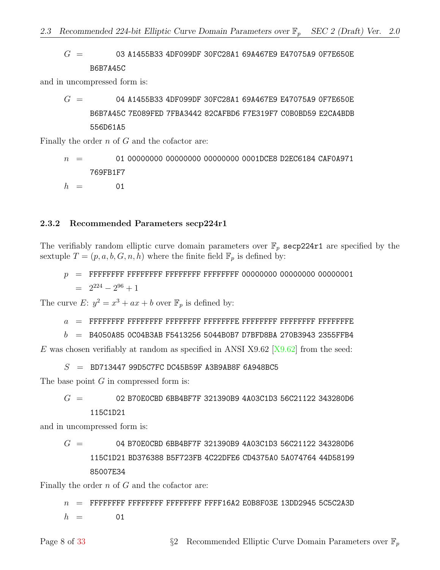$G = 03$  A1455B33 4DF099DF 30FC28A1 69A467E9 E47075A9 0F7E650E B6B7A45C

and in uncompressed form is:

 $G = 04$  A1455B33 4DF099DF 30FC28A1 69A467E9 E47075A9 0F7E650E B6B7A45C 7E089FED 7FBA3442 82CAFBD6 F7E319F7 C0B0BD59 E2CA4BDB 556D61A5

Finally the order  $n$  of  $G$  and the cofactor are:

$$
n \hspace{2.5mm} = \hspace{1.5mm} 01 \hspace{.05mm} 00000000 \hspace{.05mm} 00000000 \hspace{.05mm} 00000000 \hspace{.05mm} 000100E8 \hspace{.05mm} 02EC6184 \hspace{.05mm} CAF0A971 \hspace{.05mm} \\ h \hspace{.2cm} = \hspace{.2cm} 01
$$

#### <span id="page-11-0"></span>2.3.2 Recommended Parameters secp224r1

The verifiably random elliptic curve domain parameters over  $\mathbb{F}_p$  secp224r1 are specified by the sextuple  $T = (p, a, b, G, n, h)$  where the finite field  $\mathbb{F}_p$  is defined by:

p = FFFFFFFF FFFFFFFF FFFFFFFF FFFFFFFF 00000000 00000000 00000001  $= 2^{224} - 2^{96} + 1$ 

The curve  $E: y^2 = x^3 + ax + b$  over  $\mathbb{F}_p$  is defined by:

a = FFFFFFFF FFFFFFFF FFFFFFFF FFFFFFFE FFFFFFFF FFFFFFFF FFFFFFFE

 $b = B4050A850C04B3AB F54132565044B0B7D7BFD8BA270B39432355FFB4$ 

E was chosen verifiably at random as specified in ANSI X9.62  $[X9.62]$  from the seed:

 $S =$ BD713447 99D5C7FC DC45B59F A3B9AB8F 6A948BC5

The base point  $G$  in compressed form is:

 $G = 02 B70E0CBD 6BB4BFTF 321390B9 4A03C1D3 56C21122 343280D6$ 115C1D21

and in uncompressed form is:

 $G = 04$  B70E0CBD 6BB4BF7F 321390B9 4A03C1D3 56C21122 343280D6 115C1D21 BD376388 B5F723FB 4C22DFE6 CD4375A0 5A074764 44D58199 85007E34

Finally the order  $n$  of  $G$  and the cofactor are:

 $n$  = FFFFFFFF FFFFFFFF FFFFFFFF FFFF16A2 E0B8F03E 13DD2945 5C5C2A3D  $h = 01$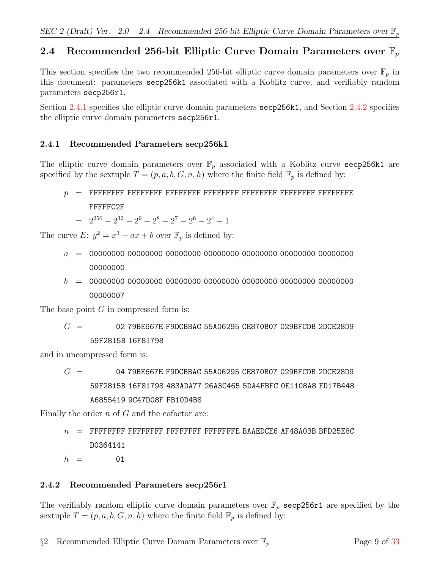# <span id="page-12-0"></span>2.4 Recommended 256-bit Elliptic Curve Domain Parameters over  $\mathbb{F}_p$

This section specifies the two recommended 256-bit elliptic curve domain parameters over  $\mathbb{F}_p$  in this document: parameters secp256k1 associated with a Koblitz curve, and verifiably random parameters secp256r1.

Section [2.4.1](#page-12-1) specifies the elliptic curve domain parameters secp256k1, and Section [2.4.2](#page-12-2) specifies the elliptic curve domain parameters secp256r1.

#### <span id="page-12-1"></span>2.4.1 Recommended Parameters secp256k1

The elliptic curve domain parameters over  $\mathbb{F}_p$  associated with a Koblitz curve secp256k1 are specified by the sextuple  $T = (p, a, b, G, n, h)$  where the finite field  $\mathbb{F}_p$  is defined by:

# p = FFFFFFFF FFFFFFFF FFFFFFFF FFFFFFFF FFFFFFFF FFFFFFFF FFFFFFFE FFFFFC2F

 $= 2^{256} - 2^{32} - 2^9 - 2^8 - 2^7 - 2^6 - 2^4 - 1$ 

The curve E:  $y^2 = x^3 + ax + b$  over  $\mathbb{F}_p$  is defined by:

- a = 00000000 00000000 00000000 00000000 00000000 00000000 00000000 00000000
- b = 00000000 00000000 00000000 00000000 00000000 00000000 00000000 00000007

The base point  $G$  in compressed form is:

 $G = 0279BEG67E F9DCBBAC 55A06295 CE870B07 029BFCDB 2DCE28D9$ 59F2815B 16F81798

and in uncompressed form is:

 $G = 0479BE667E$  F9DCBBAC 55A06295 CE870B07 029BFCDB 2DCE28D9 59F2815B 16F81798 483ADA77 26A3C465 5DA4FBFC 0E1108A8 FD17B448 A6855419 9C47D08F FB10D4B8

Finally the order  $n$  of  $G$  and the cofactor are:

n = FFFFFFFF FFFFFFFF FFFFFFFF FFFFFFFE BAAEDCE6 AF48A03B BFD25E8C D0364141

 $h = 01$ 

#### <span id="page-12-2"></span>2.4.2 Recommended Parameters secp256r1

The verifiably random elliptic curve domain parameters over  $\mathbb{F}_p$  secp256r1 are specified by the sextuple  $T = (p, a, b, G, n, h)$  where the finite field  $\mathbb{F}_p$  is defined by: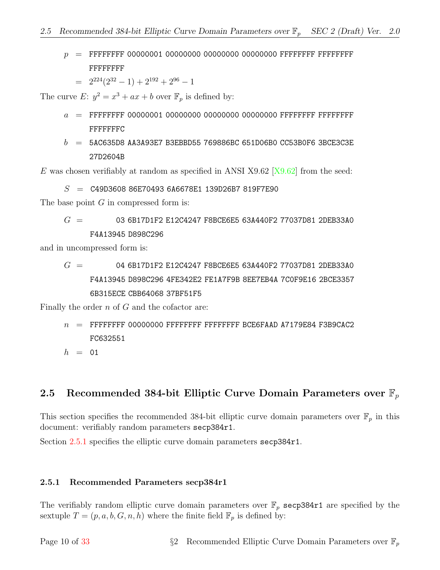- p = FFFFFFFF 00000001 00000000 00000000 00000000 FFFFFFFF FFFFFFFF FFFFFFFF
	- $= 2^{224}(2^{32} 1) + 2^{192} + 2^{96} 1$

The curve  $E: y^2 = x^3 + ax + b$  over  $\mathbb{F}_p$  is defined by:

- a = FFFFFFFF 00000001 00000000 00000000 00000000 FFFFFFFF FFFFFFFF FFFFFFFC
- $b = 5A$ C635D8 AA3A93E7 B3EBBD55 769886BC 651D06B0 CC53B0F6 3BCE3C3E 27D2604B

E was chosen verifiably at random as specified in ANSI X9.62  $[X9.62]$  from the seed:

 $S = 0.49D360886E704936A6678E1139D26B7819F7E90$ 

The base point  $G$  in compressed form is:

$$
G~= ~~03\; 6B17D1F2\; E12C4247\; F8BCE6E5\; 63A440F2\; 77037D81\; 2DEB33A0
$$
   
\nF4A13945\; D898C296

and in uncompressed form is:

$$
G~= \qquad \qquad 04\;\;6B17D1F2\;E12C4247\;F8BCE6E5\;\;63A440F2\;\;77037D81\;\;2DEB33A0
$$
\n
$$
F4A13945\;\;D898C296\;\;4FE342E2\;\;FE1A7F9B\;\;8EE7EB4A\;\;7C0F9E16\;\;2BCE3357
$$
\n
$$
6B315ECE\;\;CBB64068\;\;37BF51F5
$$

Finally the order  $n$  of  $G$  and the cofactor are:

- $n =$  FFFFFFFF 00000000 FFFFFFFF FFFFFFFF BCE6FAAD A7179E84 F3B9CAC2 FC632551
- $h = 01$

### <span id="page-13-0"></span>2.5 Recommended 384-bit Elliptic Curve Domain Parameters over  $\mathbb{F}_p$

This section specifies the recommended 384-bit elliptic curve domain parameters over  $\mathbb{F}_p$  in this document: verifiably random parameters secp384r1.

Section [2.5.1](#page-13-1) specifies the elliptic curve domain parameters secp384r1.

#### <span id="page-13-1"></span>2.5.1 Recommended Parameters secp384r1

The verifiably random elliptic curve domain parameters over  $\mathbb{F}_p$  secp384r1 are specified by the sextuple  $T = (p, a, b, G, n, h)$  where the finite field  $\mathbb{F}_p$  is defined by: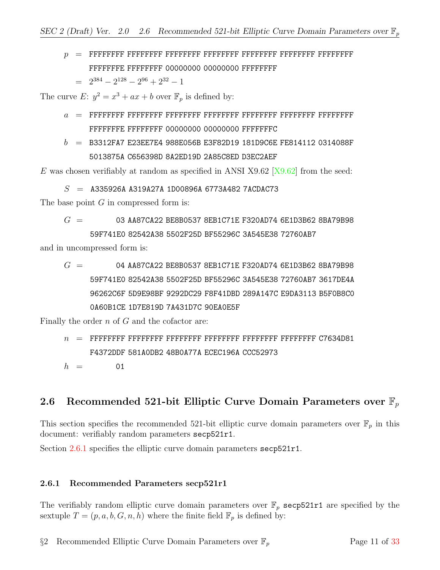p = FFFFFFFF FFFFFFFF FFFFFFFF FFFFFFFF FFFFFFFF FFFFFFFF FFFFFFFF FFFFFFFE FFFFFFFF 00000000 00000000 FFFFFFFF

 $= 2^{384} - 2^{128} - 2^{96} + 2^{32} - 1$ 

The curve  $E: y^2 = x^3 + ax + b$  over  $\mathbb{F}_p$  is defined by:

- a = FFFFFFFF FFFFFFFF FFFFFFFF FFFFFFFF FFFFFFFF FFFFFFFF FFFFFFFF FFFFFFFE FFFFFFFF 00000000 00000000 FFFFFFFC
- $b =$  B3312FA7 E23EE7E4 988E056B E3F82D19 181D9C6E FE814112 0314088F 5013875A C656398D 8A2ED19D 2A85C8ED D3EC2AEF

E was chosen verifiably at random as specified in ANSI X9.62  $[X9.62]$  from the seed:

 $S =$  A335926A A319A27A 1D00896A 6773A482 7ACDAC73

The base point  $G$  in compressed form is:

 $G = 03$  AA87CA22 BE8B0537 8EB1C71E F320AD74 6E1D3B62 8BA79B98 59F741E0 82542A38 5502F25D BF55296C 3A545E38 72760AB7

and in uncompressed form is:

 $G = 04$  AA87CA22 BE8B0537 8EB1C71E F320AD74 6E1D3B62 8BA79B98 59F741E0 82542A38 5502F25D BF55296C 3A545E38 72760AB7 3617DE4A 96262C6F 5D9E98BF 9292DC29 F8F41DBD 289A147C E9DA3113 B5F0B8C0 0A60B1CE 1D7E819D 7A431D7C 90EA0E5F

Finally the order  $n$  of  $G$  and the cofactor are:

n = FFFFFFFF FFFFFFFF FFFFFFFF FFFFFFFF FFFFFFFF FFFFFFFF C7634D81 F4372DDF 581A0DB2 48B0A77A ECEC196A CCC52973

 $h = 01$ 

# <span id="page-14-0"></span>2.6 Recommended 521-bit Elliptic Curve Domain Parameters over  $\mathbb{F}_p$

This section specifies the recommended 521-bit elliptic curve domain parameters over  $\mathbb{F}_p$  in this document: verifiably random parameters secp521r1.

Section [2.6.1](#page-14-1) specifies the elliptic curve domain parameters secp521r1.

#### <span id="page-14-1"></span>2.6.1 Recommended Parameters secp521r1

The verifiably random elliptic curve domain parameters over  $\mathbb{F}_p$  secp521r1 are specified by the sextuple  $T = (p, a, b, G, n, h)$  where the finite field  $\mathbb{F}_p$  is defined by: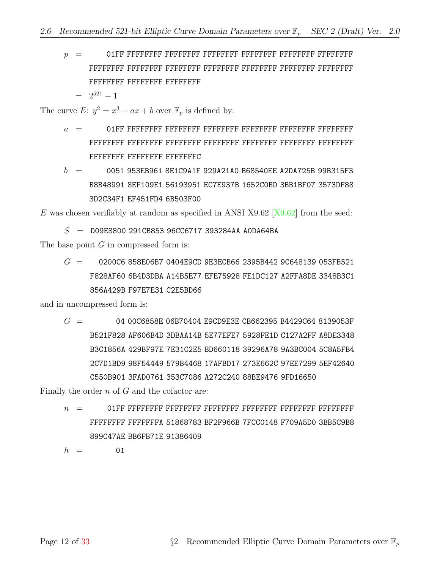- p = 01FF FFFFFFFF FFFFFFFF FFFFFFFF FFFFFFFF FFFFFFFF FFFFFFFF FFFFFFFF FFFFFFFF FFFFFFFF FFFFFFFF FFFFFFFF FFFFFFFF FFFFFFFF FFFFFFFF FFFFFFFF FFFFFFFF
	- $= 2^{521} 1$

The curve  $E: y^2 = x^3 + ax + b$  over  $\mathbb{F}_p$  is defined by:

- a = 01FF FFFFFFFF FFFFFFFF FFFFFFFF FFFFFFFF FFFFFFFF FFFFFFFF FFFFFFFF FFFFFFFF FFFFFFFF FFFFFFFF FFFFFFFF FFFFFFFF FFFFFFFF FFFFFFFF FFFFFFFF FFFFFFFC
- $b = 0051$  953EB961 8E1C9A1F 929A21A0 B68540EE A2DA725B 99B315F3 B8B48991 8EF109E1 56193951 EC7E937B 1652C0BD 3BB1BF07 3573DF88 3D2C34F1 EF451FD4 6B503F00

E was chosen verifiably at random as specified in ANSI X9.62  $[X9.62]$  from the seed:

 $S =$  D09E8800 291CB853 96CC6717 393284AA A0DA64BA

The base point  $G$  in compressed form is:

 $G = 0200C6858E06B70404E9CD9E3ECB662395B4429C648139053FB521$ F828AF60 6B4D3DBA A14B5E77 EFE75928 FE1DC127 A2FFA8DE 3348B3C1 856A429B F97E7E31 C2E5BD66

and in uncompressed form is:

 $G = 0400C6858E06B70404E9CD9E3ECB662395B4429C648139053F$ B521F828 AF606B4D 3DBAA14B 5E77EFE7 5928FE1D C127A2FF A8DE3348 B3C1856A 429BF97E 7E31C2E5 BD660118 39296A78 9A3BC004 5C8A5FB4 2C7D1BD9 98F54449 579B4468 17AFBD17 273E662C 97EE7299 5EF42640 C550B901 3FAD0761 353C7086 A272C240 88BE9476 9FD16650

Finally the order  $n$  of  $G$  and the cofactor are:

n = 01FF FFFFFFFF FFFFFFFF FFFFFFFF FFFFFFFF FFFFFFFF FFFFFFFF FFFFFFFF FFFFFFFA 51868783 BF2F966B 7FCC0148 F709A5D0 3BB5C9B8 899C47AE BB6FB71E 91386409

 $h = 01$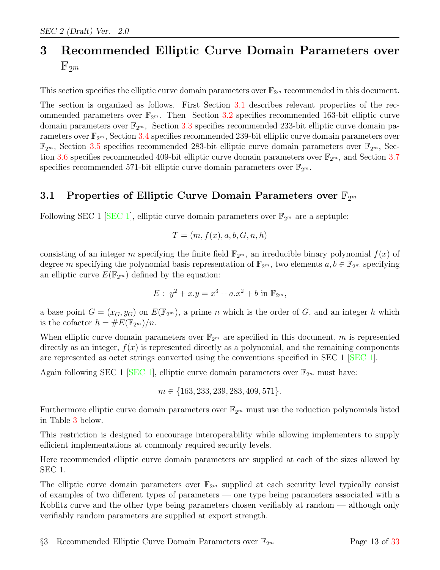# <span id="page-16-0"></span>3 Recommended Elliptic Curve Domain Parameters over  $\mathbb{F}_{2^m}$

This section specifies the elliptic curve domain parameters over  $\mathbb{F}_{2^m}$  recommended in this document.

The section is organized as follows. First Section [3.1](#page-16-1) describes relevant properties of the recommended parameters over  $\mathbb{F}_{2^m}$ . Then Section [3.2](#page-20-0) specifies recommended 163-bit elliptic curve domain parameters over  $\mathbb{F}_{2^m}$ , Section [3.3](#page-22-0) specifies recommended 233-bit elliptic curve domain parameters over  $\mathbb{F}_{2^m}$ , Section [3.4](#page-23-0) specifies recommended 239-bit elliptic curve domain parameters over  $\mathbb{F}_{2^m}$ , Section [3.5](#page-24-0) specifies recommended 283-bit elliptic curve domain parameters over  $\mathbb{F}_{2^m}$ , Sec-tion [3.6](#page-26-0) specifies recommended 409-bit elliptic curve domain parameters over  $\mathbb{F}_{2^m}$ , and Section [3.7](#page-28-0) specifies recommended 571-bit elliptic curve domain parameters over  $\mathbb{F}_{2^m}$ .

### <span id="page-16-1"></span>3.1 Properties of Elliptic Curve Domain Parameters over  $\mathbb{F}_{2^m}$

Following SEC 1 [\[SEC 1\]](#page-35-1), elliptic curve domain parameters over  $\mathbb{F}_{2^m}$  are a septuple:

$$
T = (m, f(x), a, b, G, n, h)
$$

consisting of an integer m specifying the finite field  $\mathbb{F}_{2^m}$ , an irreducible binary polynomial  $f(x)$  of degree m specifying the polynomial basis representation of  $\mathbb{F}_{2^m}$ , two elements  $a, b \in \mathbb{F}_{2^m}$  specifying an elliptic curve  $E(\mathbb{F}_{2^m})$  defined by the equation:

$$
E: y^2 + x \cdot y = x^3 + a \cdot x^2 + b \text{ in } \mathbb{F}_{2^m},
$$

a base point  $G = (x_G, y_G)$  on  $E(\mathbb{F}_{2^m})$ , a prime n which is the order of G, and an integer h which is the cofactor  $h = \#E(\mathbb{F}_{2^m})/n$ .

When elliptic curve domain parameters over  $\mathbb{F}_{2^m}$  are specified in this document, m is represented directly as an integer,  $f(x)$  is represented directly as a polynomial, and the remaining components are represented as octet strings converted using the conventions specified in SEC 1 [\[SEC 1\]](#page-35-1).

Again following SEC 1 [\[SEC 1\]](#page-35-1), elliptic curve domain parameters over  $\mathbb{F}_{2^m}$  must have:

$$
m \in \{163, 233, 239, 283, 409, 571\}.
$$

Furthermore elliptic curve domain parameters over  $\mathbb{F}_{2^m}$  must use the reduction polynomials listed in Table [3](#page-17-0) below.

This restriction is designed to encourage interoperability while allowing implementers to supply efficient implementations at commonly required security levels.

Here recommended elliptic curve domain parameters are supplied at each of the sizes allowed by SEC 1.

The elliptic curve domain parameters over  $\mathbb{F}_{2^m}$  supplied at each security level typically consist of examples of two different types of parameters — one type being parameters associated with a Koblitz curve and the other type being parameters chosen verifiably at random — although only verifiably random parameters are supplied at export strength.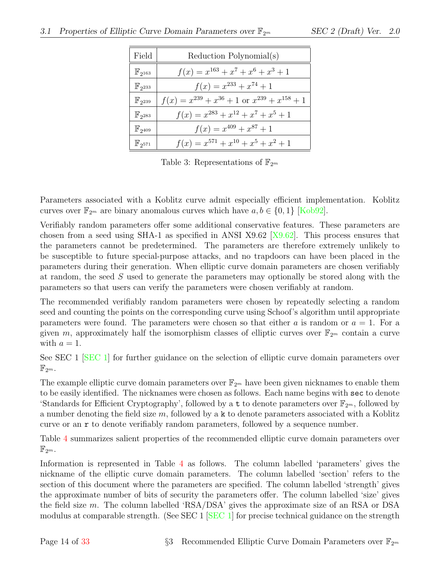| Field                  | Reduction Polynomial(s)                                  |
|------------------------|----------------------------------------------------------|
| $\mathbb{F}_{2^{163}}$ | $f(x) = x^{163} + x^7 + x^6 + x^3 + 1$                   |
| $\mathbb{F}_{2^{233}}$ | $f(x) = x^{233} + x^{74} + 1$                            |
| $\mathbb{F}_{2^{239}}$ | $f(x) = x^{239} + x^{36} + 1$ or $x^{239} + x^{158} + 1$ |
| $\mathbb{F}_{2^{283}}$ | $f(x) = x^{283} + x^{12} + x^7 + x^5 + 1$                |
| $\mathbb{F}_{2^{409}}$ | $f(x) = x^{409} + x^{87} + 1$                            |
| $\mathbb{F}_{2^{571}}$ | $f(x) = x^{571} + x^{10} + x^5 + x^2 + 1$                |

<span id="page-17-0"></span>Table 3: Representations of  $\mathbb{F}_{2^m}$ 

Parameters associated with a Koblitz curve admit especially efficient implementation. Koblitz curves over  $\mathbb{F}_{2^m}$  are binary anomalous curves which have  $a, b \in \{0, 1\}$  [\[Kob92\]](#page-35-8).

Verifiably random parameters offer some additional conservative features. These parameters are chosen from a seed using SHA-1 as specified in ANSI X9.62  $|X9.62|$ . This process ensures that the parameters cannot be predetermined. The parameters are therefore extremely unlikely to be susceptible to future special-purpose attacks, and no trapdoors can have been placed in the parameters during their generation. When elliptic curve domain parameters are chosen verifiably at random, the seed S used to generate the parameters may optionally be stored along with the parameters so that users can verify the parameters were chosen verifiably at random.

The recommended verifiably random parameters were chosen by repeatedly selecting a random seed and counting the points on the corresponding curve using Schoof's algorithm until appropriate parameters were found. The parameters were chosen so that either a is random or  $a = 1$ . For a given m, approximately half the isomorphism classes of elliptic curves over  $\mathbb{F}_{2^m}$  contain a curve with  $a=1$ .

See SEC 1 [\[SEC 1\]](#page-35-1) for further guidance on the selection of elliptic curve domain parameters over  $\mathbb{F}_{2^m}.$ 

The example elliptic curve domain parameters over  $\mathbb{F}_{2^m}$  have been given nicknames to enable them to be easily identified. The nicknames were chosen as follows. Each name begins with sec to denote 'Standards for Efficient Cryptography', followed by a t to denote parameters over  $\mathbb{F}_{2^m}$ , followed by a number denoting the field size  $m$ , followed by a k to denote parameters associated with a Koblitz curve or an r to denote verifiably random parameters, followed by a sequence number.

Table [4](#page-18-0) summarizes salient properties of the recommended elliptic curve domain parameters over  $\mathbb{F}_{2^m}.$ 

Information is represented in Table [4](#page-18-0) as follows. The column labelled 'parameters' gives the nickname of the elliptic curve domain parameters. The column labelled 'section' refers to the section of this document where the parameters are specified. The column labelled 'strength' gives the approximate number of bits of security the parameters offer. The column labelled 'size' gives the field size m. The column labelled 'RSA/DSA' gives the approximate size of an RSA or DSA modulus at comparable strength. (See SEC 1  $\left[\text{SEC 1} \right]$  for precise technical guidance on the strength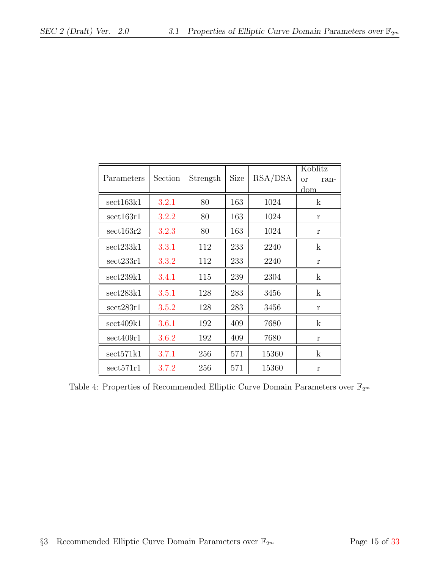|                    |         |          |             |         | Koblitz               |  |
|--------------------|---------|----------|-------------|---------|-----------------------|--|
| Parameters         | Section | Strength | <b>Size</b> | RSA/DSA | <sub>or</sub><br>ran- |  |
|                    |         |          |             |         | dom                   |  |
| sect163k1          | 3.2.1   | 80       | 163         | 1024    | $\mathbf{k}$          |  |
| sect163r1          | 3.2.2   | 80       | 163         | 1024    | r                     |  |
| sect163r2          | 3.2.3   | 80       | 163         | 1024    | r                     |  |
| $\text{sect233k1}$ | 3.3.1   | 112      | 233         | 2240    | $\mathbf k$           |  |
| sect233r1          | 3.3.2   | 112      | 233         | 2240    | $\mathbf r$           |  |
| sect239k1          | 3.4.1   | 115      | 239         | 2304    | $\mathbf{k}$          |  |
| sect283k1          | 3.5.1   | 128      | 283         | 3456    | $\mathbf k$           |  |
| sect283r1          | 3.5.2   | 128      | 283         | 3456    | $\mathbf r$           |  |
| sect409k1          | 3.6.1   | 192      | 409         | 7680    | $\mathbf{k}$          |  |
| sect409r1          | 3.6.2   | 192      | 409         | 7680    | r                     |  |
| sect571k1          | 3.7.1   | 256      | 571         | 15360   | $\mathbf k$           |  |
| sect571r1          | 3.7.2   | 256      | 571         | 15360   | r                     |  |

<span id="page-18-0"></span>Table 4: Properties of Recommended Elliptic Curve Domain Parameters over  $\mathbb{F}_{2^m}$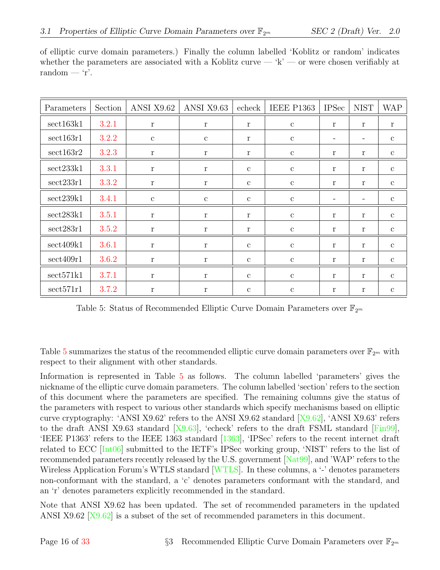| Parameters | Section | ANSI X9.62   | ANSI X9.63   | echeck       | <b>IEEE P1363</b> | <b>IPSec</b>             | <b>NIST</b>       | <b>WAP</b>   |
|------------|---------|--------------|--------------|--------------|-------------------|--------------------------|-------------------|--------------|
| sect163k1  | 3.2.1   | $\bf r$      | $\mathbf r$  | $\mathbf r$  | $\mathbf{c}$      | $\mathbf r$              | $\mathbf{r}$      | $\mathbf r$  |
| sect163r1  | 3.2.2   | $\mathbf{c}$ | $\mathbf{c}$ | $\mathbf r$  | $\mathbf c$       | $\overline{\phantom{a}}$ | $\qquad \qquad -$ | $\mathbf{c}$ |
| sect163r2  | 3.2.3   | r            | r            | r            | $\mathbf{C}$      | r                        | $\mathbf{r}$      | $\mathbf{c}$ |
| sect233k1  | 3.3.1   | $\mathbf{r}$ | $\bf r$      | $\mathbf{c}$ | $\mathbf{c}$      | $\mathbf r$              | $\mathbf{r}$      | $\mathbf{c}$ |
| sect233r1  | 3.3.2   | $\mathbf r$  | $\mathbf r$  | $\mathbf{c}$ | $\mathbf{c}$      | r                        | r                 | $\mathbf{c}$ |
| sect239k1  | 3.4.1   | $\mathbf{c}$ | $\mathbf{c}$ | $\mathbf{c}$ | $\mathbf{c}$      | $\overline{\phantom{0}}$ | $\qquad \qquad -$ | $\mathbf{c}$ |
| sect283k1  | 3.5.1   | $\mathbf{r}$ | r            | $\mathbf r$  | $\mathbf{c}$      | r                        | r                 | $\mathbf{c}$ |
| sect283r1  | 3.5.2   | $\mathbf r$  | r            | $\mathbf r$  | $\mathbf c$       | r                        | r                 | $\mathbf{c}$ |
| sect409k1  | 3.6.1   | $\mathbf{r}$ | r            | $\mathbf{c}$ | $\mathbf{c}$      | r                        | r                 | $\mathbf{c}$ |
| sect409r1  | 3.6.2   | r            | r            | $\mathbf{c}$ | $\mathbf c$       | r                        | r                 | $\mathbf{c}$ |
| sect571k1  | 3.7.1   | $\mathbf{r}$ | $\mathbf{r}$ | $\mathbf{c}$ | $\mathbf c$       | $\mathbf r$              | $\mathbf{r}$      | $\mathbf{c}$ |
| sect571r1  | 3.7.2   | r            | r            | $\mathbf{c}$ | $\mathbf{c}$      | r                        | r                 | $\mathbf{c}$ |

of elliptic curve domain parameters.) Finally the column labelled 'Koblitz or random' indicates whether the parameters are associated with a Koblitz curve —  $k'$  — or were chosen verifiably at random —  $\mathbf{r}'$ .

<span id="page-19-0"></span>Table 5: Status of Recommended Elliptic Curve Domain Parameters over  $\mathbb{F}_{2^m}$ 

Table [5](#page-19-0) summarizes the status of the recommended elliptic curve domain parameters over  $\mathbb{F}_{2^m}$  with respect to their alignment with other standards.

Information is represented in Table [5](#page-19-0) as follows. The column labelled 'parameters' gives the nickname of the elliptic curve domain parameters. The column labelled 'section' refers to the section of this document where the parameters are specified. The remaining columns give the status of the parameters with respect to various other standards which specify mechanisms based on elliptic curve cryptography: 'ANSI X9.62' refers to the ANSI X9.62 standard  $|X9.62|$ , 'ANSI X9.63' refers to the draft ANSI X9.63 standard [\[X9.63\]](#page-35-3), 'echeck' refers to the draft FSML standard [\[Fin99\]](#page-35-10), 'IEEE P1363' refers to the IEEE 1363 standard [\[1363\]](#page-35-4), 'IPSec' refers to the recent internet draft related to ECC [\[Int06\]](#page-35-11) submitted to the IETF's IPSec working group, 'NIST' refers to the list of recommended parameters recently released by the U.S. government [\[Nat99\]](#page-35-7), and 'WAP' refers to the Wireless Application Forum's WTLS standard [\[WTLS\]](#page-35-12). In these columns, a '-' denotes parameters non-conformant with the standard, a 'c' denotes parameters conformant with the standard, and an 'r' denotes parameters explicitly recommended in the standard.

Note that ANSI X9.62 has been updated. The set of recommended parameters in the updated ANSI X9.62 [\[X9.62\]](#page-35-2) is a subset of the set of recommended parameters in this document.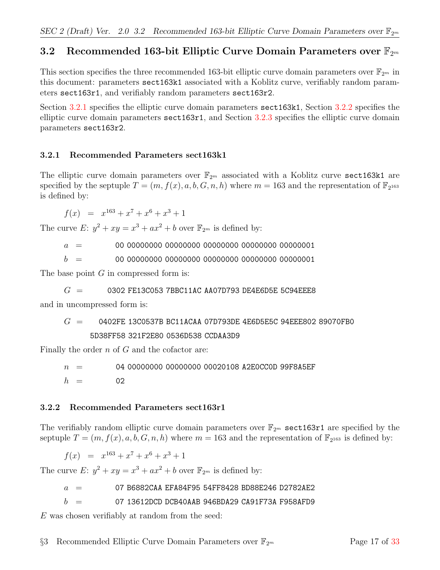# <span id="page-20-0"></span>3.2 Recommended 163-bit Elliptic Curve Domain Parameters over  $\mathbb{F}_{2^m}$

This section specifies the three recommended 163-bit elliptic curve domain parameters over  $\mathbb{F}_{2^m}$  in this document: parameters sect163k1 associated with a Koblitz curve, verifiably random parameters sect163r1, and verifiably random parameters sect163r2.

Section [3.2.1](#page-20-1) specifies the elliptic curve domain parameters section [3.2.2](#page-20-2) specifies the elliptic curve domain parameters sect163r1, and Section [3.2.3](#page-21-0) specifies the elliptic curve domain parameters sect163r2.

#### <span id="page-20-1"></span>3.2.1 Recommended Parameters sect163k1

The elliptic curve domain parameters over  $\mathbb{F}_{2^m}$  associated with a Koblitz curve sect163k1 are specified by the septuple  $T = (m, f(x), a, b, G, n, h)$  where  $m = 163$  and the representation of  $\mathbb{F}_{2^{163}}$ is defined by:

$$
f(x) = x^{163} + x^7 + x^6 + x^3 + 1
$$

The curve E:  $y^2 + xy = x^3 + ax^2 + b$  over  $\mathbb{F}_{2^m}$  is defined by:

a = 00 00000000 00000000 00000000 00000000 00000001

b = 00 00000000 00000000 00000000 00000000 00000001

The base point  $G$  in compressed form is:

 $G = 0302$  FE13C053 7BBC11AC AA07D793 DE4E6D5E 5C94EEE8

and in uncompressed form is:

 $G = 0402$ FE 13C0537B BC11ACAA 07D793DE 4E6D5E5C 94EEE802 89070FB0 5D38FF58 321F2E80 0536D538 CCDAA3D9

Finally the order n of G and the cofactor are:

 $n = 04 00000000 00000000 00020108$  A2E0CC0D 99F8A5EF  $h = 02$ 

#### <span id="page-20-2"></span>3.2.2 Recommended Parameters sect163r1

The verifiably random elliptic curve domain parameters over  $\mathbb{F}_{2m}$  sections are specified by the septuple  $T = (m, f(x), a, b, G, n, h)$  where  $m = 163$  and the representation of  $\mathbb{F}_{2^{163}}$  is defined by:

 $f(x) = x^{163} + x^7 + x^6 + x^3 + 1$ 

The curve E:  $y^2 + xy = x^3 + ax^2 + b$  over  $\mathbb{F}_{2^m}$  is defined by:

 $a = 07 B6882CAA EFA84F95 54FF8428 BDB8E246 D2782AE2$ 

 $b = 07 13612$ DCD DCB40AAB 946BDA29 CA91F73A F958AFD9

 $E$  was chosen verifiably at random from the seed: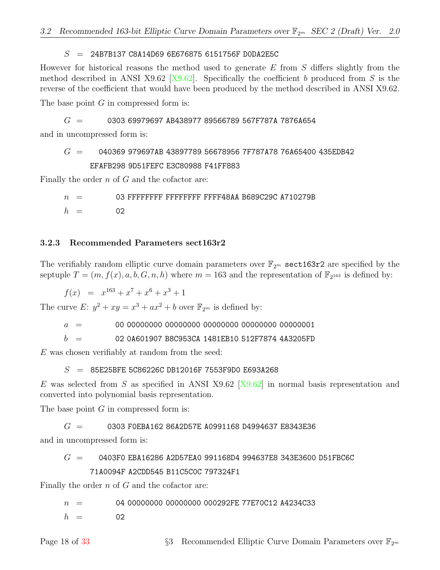#### $S = 24B7B137C8A14D696E6768756151756F DODA2E5C$

However for historical reasons the method used to generate  $E$  from  $S$  differs slightly from the method described in ANSI X9.62 [\[X9.62\]](#page-35-2). Specifically the coefficient b produced from S is the reverse of the coefficient that would have been produced by the method described in ANSI X9.62.

The base point  $G$  in compressed form is:

$$
G = 0303 69979697 AB438977 89566789 567F787A 7876A654
$$

and in uncompressed form is:

#### $G = 040369974B43897789566789567F787A7876A65400435EDB42$ EFAFB298 9D51FEFC E3C80988 F41FF883

Finally the order  $n$  of  $G$  and the cofactor are:

 $n = 03$  FFFFFFFF FFFFFFFF FFFF48AA B689C29C A710279B  $h = 02$ 

#### <span id="page-21-0"></span>3.2.3 Recommended Parameters sect163r2

The verifiably random elliptic curve domain parameters over  $\mathbb{F}_{2^m}$  sect163r2 are specified by the septuple  $T = (m, f(x), a, b, G, n, h)$  where  $m = 163$  and the representation of  $\mathbb{F}_{2^{163}}$  is defined by:

 $f(x) = x^{163} + x^7 + x^6 + x^3 + 1$ 

The curve E:  $y^2 + xy = x^3 + ax^2 + b$  over  $\mathbb{F}_{2^m}$  is defined by:

a = 00 00000000 00000000 00000000 00000000 00000001

 $b = 0204601907 B8C953C$ A 1481EB10 512F7874 4A3205FD

 $E$  was chosen verifiably at random from the seed:

 $S = 85E25BFE 5C86226C DB12016F 7553F9D0 E693A268$ 

E was selected from S as specified in ANSI X9.62 [\[X9.62\]](#page-35-2) in normal basis representation and converted into polynomial basis representation.

The base point  $G$  in compressed form is:

#### $G = 0303$  FOEBA162 86A2D57E A0991168 D4994637 E8343E36

and in uncompressed form is:

#### $G = 0403F0$  EBA16286 A2D57EA0 991168D4 994637E8 343E3600 D51FBC6C 71A0094F A2CDD545 B11C5C0C 797324F1

Finally the order n of G and the cofactor are:

 $n = 04 00000000 00000000 000292FE 77E70C12 A4234C33$ 

 $h = 02$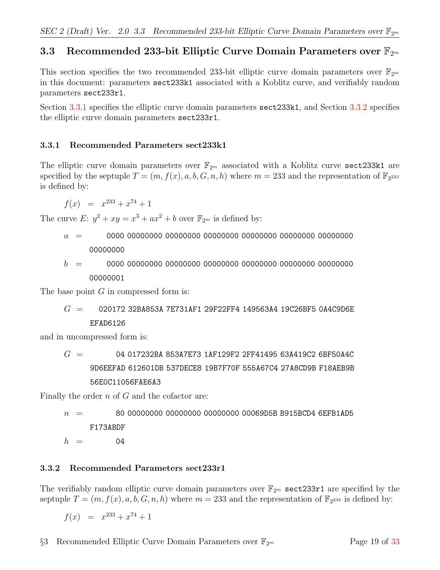# <span id="page-22-0"></span>3.3 Recommended 233-bit Elliptic Curve Domain Parameters over  $\mathbb{F}_{2^m}$

This section specifies the two recommended 233-bit elliptic curve domain parameters over  $\mathbb{F}_{2^m}$ in this document: parameters sect233k1 associated with a Koblitz curve, and verifiably random parameters sect233r1.

Section [3.3.1](#page-22-1) specifies the elliptic curve domain parameters sect233k1, and Section [3.3.2](#page-22-2) specifies the elliptic curve domain parameters sect233r1.

#### <span id="page-22-1"></span>3.3.1 Recommended Parameters sect233k1

The elliptic curve domain parameters over  $\mathbb{F}_{2^m}$  associated with a Koblitz curve sect233k1 are specified by the septuple  $T = (m, f(x), a, b, G, n, h)$  where  $m = 233$  and the representation of  $\mathbb{F}_{2^{233}}$ is defined by:

 $f(x) = x^{233} + x^{74} + 1$ 

The curve E:  $y^2 + xy = x^3 + ax^2 + b$  over  $\mathbb{F}_{2^m}$  is defined by:

- a = 0000 00000000 00000000 00000000 00000000 00000000 00000000 00000000
- b = 0000 00000000 00000000 00000000 00000000 00000000 00000000 0000001

The base point  $G$  in compressed form is:

$$
G~=~~020172~32BA853A~7E731AF1~29F22FF4~149563A4~19C26BF5~0A4C9D6E~\\EFAD6126
$$

and in uncompressed form is:

 $G = 04017232BA853A7E731AF129F22FF4149563A419C26BF50A4C$ 9D6EEFAD 612601DB 537DECE8 19B7F70F 555A67C4 27A8CD9B F18AEB9B 56E0C11056FAE6A3

Finally the order  $n$  of  $G$  and the cofactor are:

$$
n = 80 00000000 00000000 00000000 00069D5B B915BCD4 6EFB1AD5 F173ABDF
$$
  
\n
$$
h = 04
$$

#### <span id="page-22-2"></span>3.3.2 Recommended Parameters sect233r1

The verifiably random elliptic curve domain parameters over  $\mathbb{F}_{2^m}$  sect233r1 are specified by the septuple  $T = (m, f(x), a, b, G, n, h)$  where  $m = 233$  and the representation of  $\mathbb{F}_{2^{233}}$  is defined by:

 $f(x) = x^{233} + x^{74} + 1$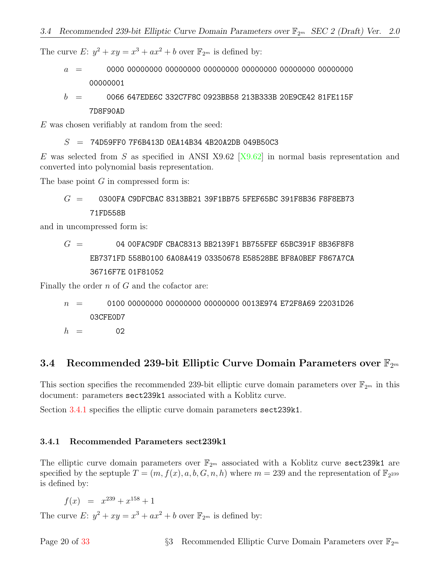The curve E:  $y^2 + xy = x^3 + ax^2 + b$  over  $\mathbb{F}_{2^m}$  is defined by:

a = 0000 00000000 00000000 00000000 00000000 00000000 00000000 00000001

 $b = 0066647E$ DE6C 332C7F8C 0923BB58 213B333B 20E9CE42 81FE115F 7D8F90AD

E was chosen verifiably at random from the seed:

 $S = 74$ D59FF0 7F6B413D 0EA14B34 4B20A2DB 049B50C3

E was selected from S as specified in ANSI X9.62  $[X9.62]$  in normal basis representation and converted into polynomial basis representation.

The base point  $G$  in compressed form is:

 $G = 0300FA$  C9DFCBAC 8313BB21 39F1BB75 5FEF65BC 391F8B36 F8F8EB73 71FD558B

and in uncompressed form is:

$$
G~= \qquad \qquad 04\ 00FAC9DF\ CBAC8313\ BB2139F1\ BB755FEF\ 65BC391F\ 8B36F8F8\ EB7371FD\ 558B0100\ 6A08A419\ 03350678\ E58528BE\ BF8A0BEF\ F867A7CA\ 36716F7E\ 01F81052
$$

Finally the order n of G and the cofactor are:

$$
n \hspace{2.5mm} = \hspace{2.5mm} 0100 \hspace{.05mm} 00000000 \hspace{.05mm} 00000000 \hspace{.05mm} 00000000 \hspace{.05mm} 0013E974 \hspace{.05mm} E72F8A69 \hspace{.05mm} 22031D26
$$

 $h = 02$ 

#### <span id="page-23-0"></span>3.4 Recommended 239-bit Elliptic Curve Domain Parameters over  $\mathbb{F}_{2^m}$

This section specifies the recommended 239-bit elliptic curve domain parameters over  $\mathbb{F}_{2^m}$  in this document: parameters sect239k1 associated with a Koblitz curve.

Section [3.4.1](#page-23-1) specifies the elliptic curve domain parameters sect 239k1.

#### <span id="page-23-1"></span>3.4.1 Recommended Parameters sect239k1

The elliptic curve domain parameters over  $\mathbb{F}_{2^m}$  associated with a Koblitz curve sect239k1 are specified by the septuple  $T = (m, f(x), a, b, G, n, h)$  where  $m = 239$  and the representation of  $\mathbb{F}_{2^{239}}$ is defined by:

 $f(x) = x^{239} + x^{158} + 1$ 

The curve E:  $y^2 + xy = x^3 + ax^2 + b$  over  $\mathbb{F}_{2^m}$  is defined by: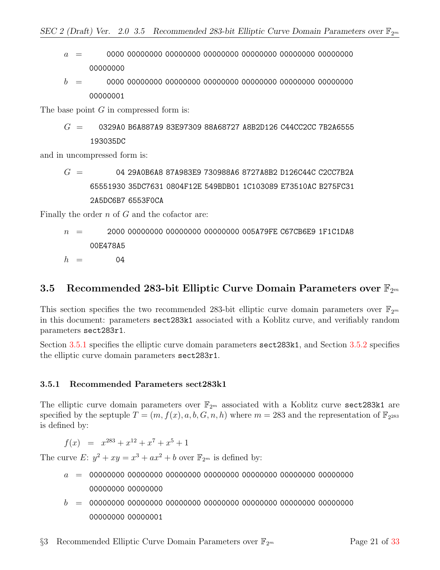- a = 0000 00000000 00000000 00000000 00000000 00000000 00000000 00000000
- b = 0000 00000000 00000000 00000000 00000000 00000000 00000000 00000001

The base point  $G$  in compressed form is:

$$
G = 0329A0 \t{ B6A887A9 \t{ 83E97309 \t{ 88A68727 \t{ A8B2D126 \t{ 244CC2CC \t{ 7B2A6555}}}}}
$$

and in uncompressed form is:

$$
G~=~~04~29A0B6A8~87A983E9~730988A6~8727A8B2~D126C44C~C2CC7B2A\\ 65551930~35DCT631~0804F12E~549BDB01~1C103089~E73510AC~B275FC31\\2A5DC6B7~6553F0CA
$$

Finally the order  $n$  of  $G$  and the cofactor are:

$$
n = 2000 00000000 00000000 00000000 005A79FE CG7CB6E9 1F1C1DAB00E478A5
$$
h = 04
$$
$$

#### <span id="page-24-0"></span>3.5 Recommended 283-bit Elliptic Curve Domain Parameters over  $\mathbb{F}_{2^m}$

This section specifies the two recommended 283-bit elliptic curve domain parameters over  $\mathbb{F}_{2^m}$ in this document: parameters sect283k1 associated with a Koblitz curve, and verifiably random parameters sect283r1.

Section [3.5.1](#page-24-1) specifies the elliptic curve domain parameters sect283k1, and Section [3.5.2](#page-25-0) specifies the elliptic curve domain parameters sect283r1.

#### <span id="page-24-1"></span>3.5.1 Recommended Parameters sect283k1

The elliptic curve domain parameters over  $\mathbb{F}_{2^m}$  associated with a Koblitz curve sect283k1 are specified by the septuple  $T = (m, f(x), a, b, G, n, h)$  where  $m = 283$  and the representation of  $\mathbb{F}_{2^{283}}$ is defined by:

 $f(x) = x^{283} + x^{12} + x^7 + x^5 + 1$ 

The curve E:  $y^2 + xy = x^3 + ax^2 + b$  over  $\mathbb{F}_{2^m}$  is defined by:

- a = 00000000 00000000 00000000 00000000 00000000 00000000 00000000 00000000 00000000
- b = 00000000 00000000 00000000 00000000 00000000 00000000 00000000 00000000 00000001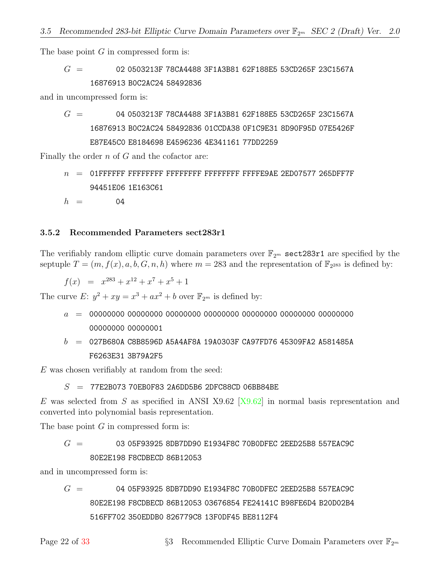The base point  $G$  in compressed form is:

### $G = 020503213F 78C_A4488 3F1A3B81 62F188E5 53C_D265F 23C1567A$ 16876913 B0C2AC24 58492836

and in uncompressed form is:

$$
G~=~~04~0503213F~78CA4488~3F1A3B81~62F188E5~53CD265F~23C1567A\\ 16876913~BOC2AC24~58492836~01CCDA38~0F1C9E31~8D90F95D~07E5426F\\E87E45C0~E8184698~E4596236~4E341161~77DD2259
$$

Finally the order  $n$  of  $G$  and the cofactor are:

n = 01FFFFFF FFFFFFFF FFFFFFFF FFFFFFFF FFFFE9AE 2ED07577 265DFF7F 94451E06 1E163C61

 $h = 04$ 

#### <span id="page-25-0"></span>3.5.2 Recommended Parameters sect283r1

The verifiably random elliptic curve domain parameters over  $\mathbb{F}_{2^m}$  sect283r1 are specified by the septuple  $T = (m, f(x), a, b, G, n, h)$  where  $m = 283$  and the representation of  $\mathbb{F}_{2^{283}}$  is defined by:

 $f(x) = x^{283} + x^{12} + x^7 + x^5 + 1$ 

The curve E:  $y^2 + xy = x^3 + ax^2 + b$  over  $\mathbb{F}_{2^m}$  is defined by:

- a = 00000000 00000000 00000000 00000000 00000000 00000000 00000000 00000000 00000001
- $b = 027B680A$  C8B8596D A5A4AF8A 19A0303F CA97FD76 45309FA2 A581485A F6263E31 3B79A2F5

E was chosen verifiably at random from the seed:

#### $S = 77E2B073 70EBOF83 2A6DD5B6 2DFC88CD 06BB84BE$

E was selected from S as specified in ANSI X9.62  $[X9.62]$  in normal basis representation and converted into polynomial basis representation.

The base point  $G$  in compressed form is:

# $G = 0305F93925B$ DB7DD90 E1934F8C 70B0DFEC 2EED25B8 557EAC9C 80E2E198 F8CDBECD 86B12053

and in uncompressed form is:

 $G = 04$  05F93925 8DB7DD90 E1934F8C 70B0DFEC 2EED25B8 557EAC9C 80E2E198 F8CDBECD 86B12053 03676854 FE24141C B98FE6D4 B20D02B4 516FF702 350EDDB0 826779C8 13F0DF45 BE8112F4

Page 22 of [33](#page-36-0)  $\frac{83}{3}$  Recommended Elliptic Curve Domain Parameters over  $\mathbb{F}_{2^m}$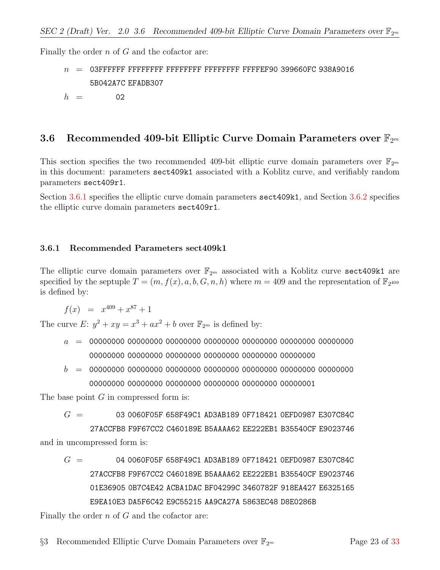Finally the order  $n$  of  $G$  and the cofactor are:

- n = 03FFFFFF FFFFFFFF FFFFFFFF FFFFFFFF FFFFEF90 399660FC 938A9016 5B042A7C EFADB307
- $h = 02$

#### <span id="page-26-0"></span>3.6 Recommended 409-bit Elliptic Curve Domain Parameters over  $\mathbb{F}_{2^m}$

This section specifies the two recommended 409-bit elliptic curve domain parameters over  $\mathbb{F}_{2^m}$ in this document: parameters sect409k1 associated with a Koblitz curve, and verifiably random parameters sect409r1.

Section [3.6.1](#page-26-1) specifies the elliptic curve domain parameters sect409k1, and Section [3.6.2](#page-27-0) specifies the elliptic curve domain parameters sect409r1.

#### <span id="page-26-1"></span>3.6.1 Recommended Parameters sect409k1

The elliptic curve domain parameters over  $\mathbb{F}_{2^m}$  associated with a Koblitz curve sect409k1 are specified by the septuple  $T = (m, f(x), a, b, G, n, h)$  where  $m = 409$  and the representation of  $\mathbb{F}_{2^{409}}$ is defined by:

$$
f(x) = x^{409} + x^{87} + 1
$$

The curve E:  $y^2 + xy = x^3 + ax^2 + b$  over  $\mathbb{F}_{2^m}$  is defined by:

- a = 00000000 00000000 00000000 00000000 00000000 00000000 00000000 00000000 00000000 00000000 00000000 00000000 00000000
- b = 00000000 00000000 00000000 00000000 00000000 00000000 00000000 00000000 00000000 00000000 00000000 00000000 00000001

The base point  $G$  in compressed form is:

 $G = 03060F05F 658F49C1 AD3AB189 OF718421 OEFD0987 E307C84C$ 

27ACCFB8 F9F67CC2 C460189E B5AAAA62 EE222EB1 B35540CF E9023746 and in uncompressed form is:

 $G = 04 0060F05F 658F49C1 AD3AB189 OF718421 OEFD0987 E307C84C$ 27ACCFB8 F9F67CC2 C460189E B5AAAA62 EE222EB1 B35540CF E9023746 01E36905 0B7C4E42 ACBA1DAC BF04299C 3460782F 918EA427 E6325165 E9EA10E3 DA5F6C42 E9C55215 AA9CA27A 5863EC48 D8E0286B

Finally the order  $n$  of  $G$  and the cofactor are: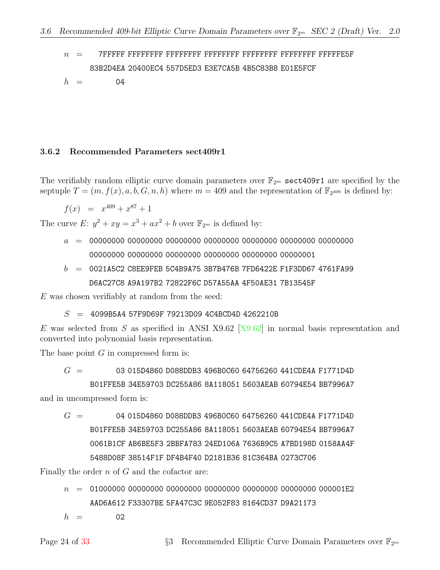n = 7FFFFF FFFFFFFF FFFFFFFF FFFFFFFF FFFFFFFF FFFFFFFF FFFFFE5F 83B2D4EA 20400EC4 557D5ED3 E3E7CA5B 4B5C83B8 E01E5FCF

 $h = 04$ 

#### <span id="page-27-0"></span>3.6.2 Recommended Parameters sect409r1

The verifiably random elliptic curve domain parameters over  $\mathbb{F}_{2m}$  sect409r1 are specified by the septuple  $T = (m, f(x), a, b, G, n, h)$  where  $m = 409$  and the representation of  $\mathbb{F}_{2^{409}}$  is defined by:

$$
f(x) = x^{409} + x^{87} + 1
$$

The curve E:  $y^2 + xy = x^3 + ax^2 + b$  over  $\mathbb{F}_{2^m}$  is defined by:

- a = 00000000 00000000 00000000 00000000 00000000 00000000 00000000 00000000 00000000 00000000 00000000 00000000 00000001
- $b = 0021A5C2$  C8EE9FEB 5C4B9A75 3B7B476B 7FD6422E F1F3DD67 4761FA99 D6AC27C8 A9A197B2 72822F6C D57A55AA 4F50AE31 7B13545F

E was chosen verifiably at random from the seed:

 $S = 4099B5A4 57F9D69F 79213D09 4C4BCD4D 4262210B$ 

E was selected from S as specified in ANSI X9.62  $[X9.62]$  in normal basis representation and converted into polynomial basis representation.

The base point  $G$  in compressed form is:

 $G = 03015D4860 D088DDB3 496B0C60 64756260 441CDE4A F1771D4D$ 

B01FFE5B 34E59703 DC255A86 8A118051 5603AEAB 60794E54 BB7996A7 and in uncompressed form is:

 $G = 04 015D4860 D088DDB3 496B0C60 64756260 441CDE4A F1771D4D$ B01FFE5B 34E59703 DC255A86 8A118051 5603AEAB 60794E54 BB7996A7 0061B1CF AB6BE5F3 2BBFA783 24ED106A 7636B9C5 A7BD198D 0158AA4F 5488D08F 38514F1F DF4B4F40 D2181B36 81C364BA 0273C706

Finally the order  $n$  of  $G$  and the cofactor are:

n = 01000000 00000000 00000000 00000000 00000000 00000000 000001E2 AAD6A612 F33307BE 5FA47C3C 9E052F83 8164CD37 D9A21173

 $h = 02$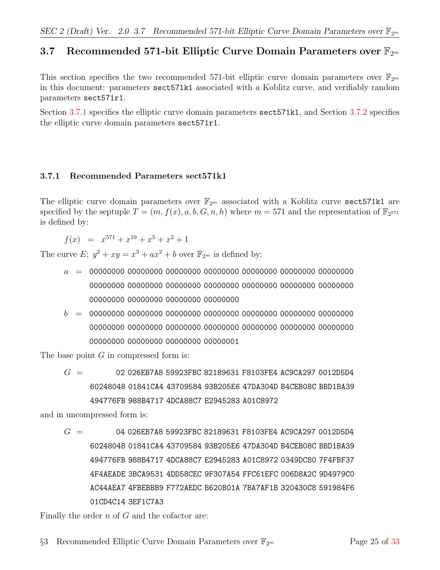# <span id="page-28-0"></span>3.7 Recommended 571-bit Elliptic Curve Domain Parameters over  $\mathbb{F}_{2^m}$

This section specifies the two recommended 571-bit elliptic curve domain parameters over  $\mathbb{F}_{2^m}$ in this document: parameters sect571k1 associated with a Koblitz curve, and verifiably random parameters sect571r1.

Section [3.7.1](#page-28-1) specifies the elliptic curve domain parameters sect571k1, and Section [3.7.2](#page-29-0) specifies the elliptic curve domain parameters sect571r1.

#### <span id="page-28-1"></span>3.7.1 Recommended Parameters sect571k1

The elliptic curve domain parameters over  $\mathbb{F}_{2^m}$  associated with a Koblitz curve sect571k1 are specified by the septuple  $T = (m, f(x), a, b, G, n, h)$  where  $m = 571$  and the representation of  $\mathbb{F}_{2^{571}}$ is defined by:

 $f(x) = x^{571} + x^{10} + x^5 + x^2 + 1$ 

The curve E:  $y^2 + xy = x^3 + ax^2 + b$  over  $\mathbb{F}_{2^m}$  is defined by:

- a = 00000000 00000000 00000000 00000000 00000000 00000000 00000000 00000000 00000000 00000000 00000000 00000000 00000000 00000000 00000000 00000000 00000000 00000000
- b = 00000000 00000000 00000000 00000000 00000000 00000000 00000000 00000000 00000000 00000000 00000000 00000000 00000000 00000000 00000000 00000000 00000000 00000001

The base point G in compressed form is:

 $G = 02026EBTA859923FBC 82189631 F8103FE4AC9CA2970012D5D4$ 60248048 01841CA4 43709584 93B205E6 47DA304D B4CEB08C BBD1BA39 494776FB 988B4717 4DCA88C7 E2945283 A01C8972

and in uncompressed form is:

 $G = 04026EBTAS 59923FBC 82189631 F8103FE4 AC9CA297 0012D5D4$ 60248048 01841CA4 43709584 93B205E6 47DA304D B4CEB08C BBD1BA39 494776FB 988B4717 4DCA88C7 E2945283 A01C8972 0349DC80 7F4FBF37 4F4AEADE 3BCA9531 4DD58CEC 9F307A54 FFC61EFC 006D8A2C 9D4979C0 AC44AEA7 4FBEBBB9 F772AEDC B620B01A 7BA7AF1B 320430C8 591984F6 01CD4C14 3EF1C7A3

Finally the order  $n$  of  $G$  and the cofactor are: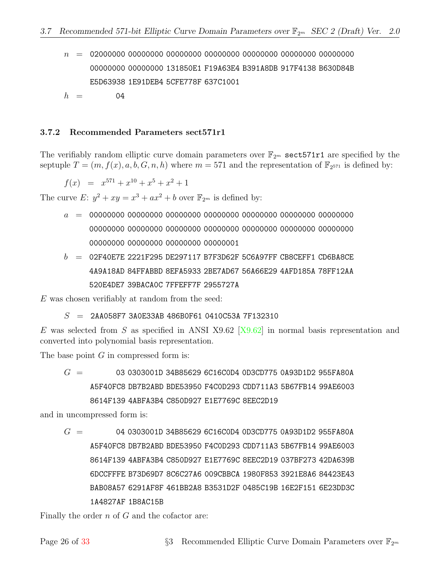- n = 02000000 00000000 00000000 00000000 00000000 00000000 00000000 00000000 00000000 131850E1 F19A63E4 B391A8DB 917F4138 B630D84B E5D63938 1E91DEB4 5CFE778F 637C1001
- $h = 04$

#### <span id="page-29-0"></span>3.7.2 Recommended Parameters sect571r1

The verifiably random elliptic curve domain parameters over  $\mathbb{F}_{2m}$  sect571r1 are specified by the septuple  $T = (m, f(x), a, b, G, n, h)$  where  $m = 571$  and the representation of  $\mathbb{F}_{2^{571}}$  is defined by:

$$
f(x) = x^{571} + x^{10} + x^5 + x^2 + 1
$$

The curve E:  $y^2 + xy = x^3 + ax^2 + b$  over  $\mathbb{F}_{2^m}$  is defined by:

- a = 00000000 00000000 00000000 00000000 00000000 00000000 00000000 00000000 00000000 00000000 00000000 00000000 00000000 00000000 00000000 00000000 00000000 00000001
- $b = 02$ F40E7E 2221F295 DE297117 B7F3D62F 5C6A97FF CB8CEFF1 CD6BA8CE 4A9A18AD 84FFABBD 8EFA5933 2BE7AD67 56A66E29 4AFD185A 78FF12AA 520E4DE7 39BACA0C 7FFEFF7F 2955727A

E was chosen verifiably at random from the seed:

 $S = 2A$ A058F7 3A0E33AB 486B0F61 0410C53A 7F132310

E was selected from S as specified in ANSI X9.62  $[X9.62]$  in normal basis representation and converted into polynomial basis representation.

The base point  $G$  in compressed form is:

 $G = 0303001D 34B85629 6C16C0D4 0D3CDT75 0A93D1D2 955FA80A$ A5F40FC8 DB7B2ABD BDE53950 F4C0D293 CDD711A3 5B67FB14 99AE6003 8614F139 4ABFA3B4 C850D927 E1E7769C 8EEC2D19

and in uncompressed form is:

 $G = 040303001D 34B85629 6C16C0D4 0D3CDT75 0A93D1D2 955FAB0A$ A5F40FC8 DB7B2ABD BDE53950 F4C0D293 CDD711A3 5B67FB14 99AE6003 8614F139 4ABFA3B4 C850D927 E1E7769C 8EEC2D19 037BF273 42DA639B 6DCCFFFE B73D69D7 8C6C27A6 009CBBCA 1980F853 3921E8A6 84423E43 BAB08A57 6291AF8F 461BB2A8 B3531D2F 0485C19B 16E2F151 6E23DD3C 1A4827AF 1B8AC15B

Finally the order  $n$  of  $G$  and the cofactor are: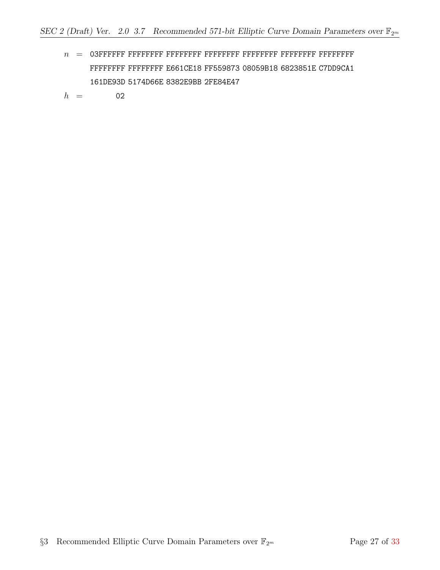n = 03FFFFFF FFFFFFFF FFFFFFFF FFFFFFFF FFFFFFFF FFFFFFFF FFFFFFFF FFFFFFFF FFFFFFFF E661CE18 FF559873 08059B18 6823851E C7DD9CA1 161DE93D 5174D66E 8382E9BB 2FE84E47

 $h = 02$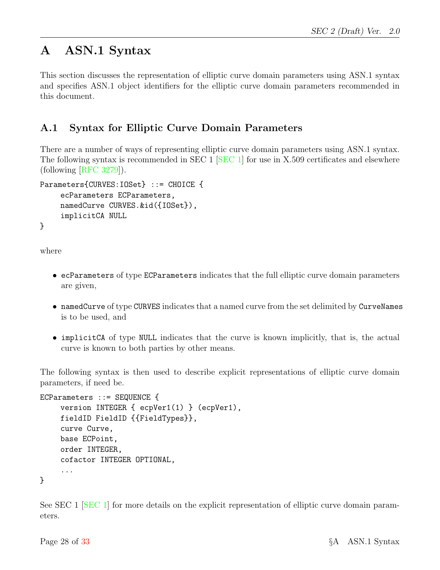# <span id="page-31-0"></span>A ASN.1 Syntax

This section discusses the representation of elliptic curve domain parameters using ASN.1 syntax and specifies ASN.1 object identifiers for the elliptic curve domain parameters recommended in this document.

### <span id="page-31-1"></span>A.1 Syntax for Elliptic Curve Domain Parameters

There are a number of ways of representing elliptic curve domain parameters using ASN.1 syntax. The following syntax is recommended in SEC 1 [\[SEC 1\]](#page-35-1) for use in X.509 certificates and elsewhere (following [\[RFC 3279\]](#page-35-13)).

```
Parameters{CURVES:IOSet} ::= CHOICE {
    ecParameters ECParameters,
    namedCurve CURVES.&id({IOSet}),
    implicitCA NULL
}
```
where

- ecParameters of type ECParameters indicates that the full elliptic curve domain parameters are given,
- namedCurve of type CURVES indicates that a named curve from the set delimited by CurveNames is to be used, and
- implicitCA of type NULL indicates that the curve is known implicitly, that is, the actual curve is known to both parties by other means.

The following syntax is then used to describe explicit representations of elliptic curve domain parameters, if need be.

```
ECParameters ::= SEQUENCE {
    version INTEGER { ecpVer1(1) } (ecpVer1),
    fieldID FieldID {{FieldTypes}},
    curve Curve,
    base ECPoint,
    order INTEGER,
    cofactor INTEGER OPTIONAL,
     ...
}
```
See SEC 1 [\[SEC 1\]](#page-35-1) for more details on the explicit representation of elliptic curve domain parameters.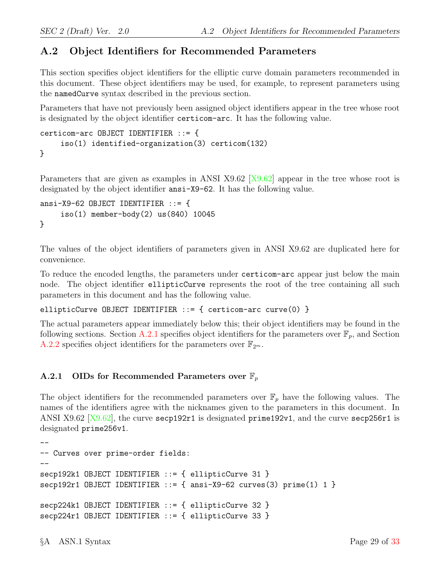# <span id="page-32-0"></span>A.2 Object Identifiers for Recommended Parameters

This section specifies object identifiers for the elliptic curve domain parameters recommended in this document. These object identifiers may be used, for example, to represent parameters using the namedCurve syntax described in the previous section.

Parameters that have not previously been assigned object identifiers appear in the tree whose root is designated by the object identifier certicom-arc. It has the following value.

```
certicom-arc OBJECT IDENTIFIER ::= {
    iso(1) identified-organization(3) certicom(132)
}
```
Parameters that are given as examples in ANSI X9.62 [\[X9.62\]](#page-35-2) appear in the tree whose root is designated by the object identifier ansi-X9-62. It has the following value.

```
ansi-X9-62 OBJECT IDENTIFIER ::= {
    iso(1) member-body(2) us(840) 10045
}
```
The values of the object identifiers of parameters given in ANSI X9.62 are duplicated here for convenience.

To reduce the encoded lengths, the parameters under certicom-arc appear just below the main node. The object identifier ellipticCurve represents the root of the tree containing all such parameters in this document and has the following value.

ellipticCurve OBJECT IDENTIFIER ::= { certicom-arc curve(0) }

The actual parameters appear immediately below this; their object identifiers may be found in the following sections. Section [A.2.1](#page-32-1) specifies object identifiers for the parameters over  $\mathbb{F}_p$ , and Section [A.2.2](#page-33-0) specifies object identifiers for the parameters over  $\mathbb{F}_{2^m}$ .

#### <span id="page-32-1"></span>A.2.1 OIDs for Recommended Parameters over  $\mathbb{F}_p$

The object identifiers for the recommended parameters over  $\mathbb{F}_p$  have the following values. The names of the identifiers agree with the nicknames given to the parameters in this document. In ANSI X9.62  $[X9.62]$ , the curve secp192r1 is designated prime192v1, and the curve secp256r1 is designated prime256v1.

```
--
-- Curves over prime-order fields:
--
secp192k1 OBJECT IDENTIFIER ::= { ellipticCurve 31 }
secp192r1 OBJECT IDENTIFIER ::= { ansi-X9-62 curves(3) prime(1) 1 }
secp224k1 OBJECT IDENTIFIER ::= { ellipticCurve 32 }
secp224r1 OBJECT IDENTIFIER ::= { ellipticCurve 33 }
```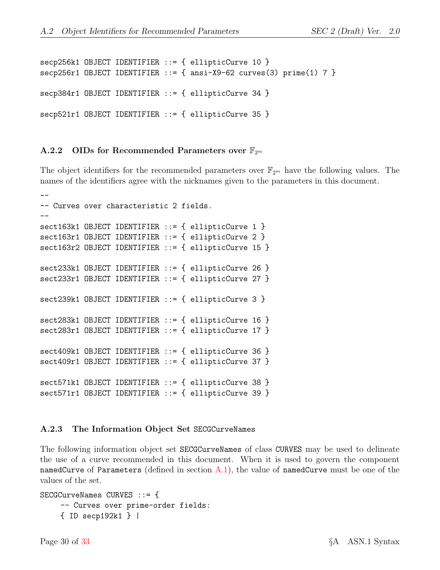```
secp256k1 OBJECT IDENTIFIER ::= { ellipticCurve 10 }
secp256r1 OBJECT IDENTIFIER ::= \{ ansi-X9-62 curves(3) prime(1) 7 \}secp384r1 OBJECT IDENTIFIER ::= { ellipticCurve 34 }
secp521r1 OBJECT IDENTIFIER ::= { ellipticCurve 35 }
```
#### <span id="page-33-0"></span>A.2.2 OIDs for Recommended Parameters over  $\mathbb{F}_{2^m}$

The object identifiers for the recommended parameters over  $\mathbb{F}_{2^m}$  have the following values. The names of the identifiers agree with the nicknames given to the parameters in this document.

```
--
-- Curves over characteristic 2 fields.
--
sect163k1 OBJECT IDENTIFIER ::= { ellipticCurve 1 }
sect163r1 OBJECT IDENTIFIER ::= { ellipticCurve 2 }
sect163r2 OBJECT IDENTIFIER ::= { ellipticCurve 15 }
sect233k1 OBJECT IDENTIFIER ::= { ellipticCurve 26 }
sect233r1 OBJECT IDENTIFIER ::= { ellipticCurve 27 }
sect239k1 OBJECT IDENTIFIER ::= { ellipticCurve 3 }
sect283k1 OBJECT IDENTIFIER ::= { ellipticCurve 16 }
sect283r1 OBJECT IDENTIFIER ::= { ellipticCurve 17 }
sect409k1 OBJECT IDENTIFIER ::= { ellipticCurve 36 }
sect409r1 OBJECT IDENTIFIER ::= { ellipticCurve 37 }
sect571k1 OBJECT IDENTIFIER ::= { ellipticCurve 38 }
sect571r1 OBJECT IDENTIFIER ::= { ellipticCurve 39 }
```
#### <span id="page-33-1"></span>A.2.3 The Information Object Set SECGCurveNames

The following information object set SECGCurveNames of class CURVES may be used to delineate the use of a curve recommended in this document. When it is used to govern the component namedCurve of Parameters (defined in section  $A(1)$ , the value of namedCurve must be one of the values of the set.

```
SECGCurveNames CURVES ::= {
    -- Curves over prime-order fields:
    { ID secp192k1 } |
```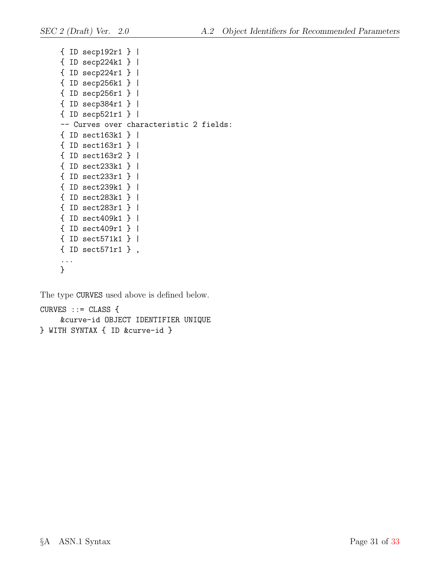```
{ ID secp192r1 } |
{ ID secp224k1 } |
{ ID secp224r1 } |
{ ID secp256k1 } |
{ ID secp256r1 } |
{ ID secp384r1 } |
{ ID secp521r1 } |
-- Curves over characteristic 2 fields:
{ ID sect163k1 } |
{ ID sect163r1 } |
{ ID sect163r2 } |
{ ID sect233k1 } |
{ ID sect233r1 } |
{ ID sect239k1 } |
{ ID sect283k1 } |
{ ID sect283r1 } |
{ ID sect409k1 } |
{ ID sect409r1 } |
{ ID sect571k1 } |
{ ID sect571r1 } ,
...
}
```
The type CURVES used above is defined below.

```
CURVES :: = CLASS&curve-id OBJECT IDENTIFIER UNIQUE
} WITH SYNTAX { ID &curve-id }
```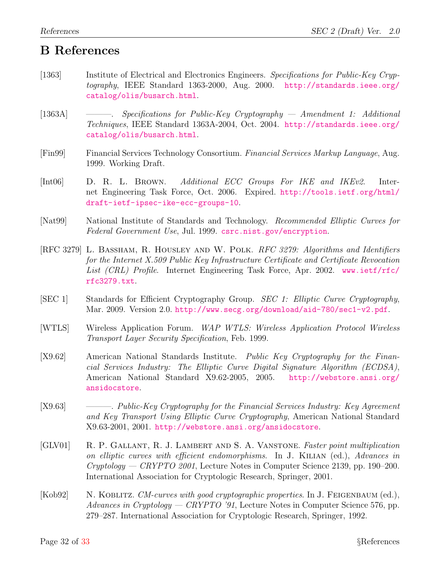# <span id="page-35-6"></span>B References

- <span id="page-35-4"></span><span id="page-35-0"></span>[1363] Institute of Electrical and Electronics Engineers. Specifications for Public-Key Cryptography, IEEE Standard 1363-2000, Aug. 2000. [http://standards.ieee.org/](http://standards.ieee.org/catalog/olis/busarch.html) [catalog/olis/busarch.html](http://standards.ieee.org/catalog/olis/busarch.html).
- <span id="page-35-5"></span>[1363A] ———. Specifications for Public-Key Cryptography — Amendment 1: Additional Techniques, IEEE Standard 1363A-2004, Oct. 2004. [http://standards.ieee.org/](http://standards.ieee.org/catalog/olis/busarch.html) [catalog/olis/busarch.html](http://standards.ieee.org/catalog/olis/busarch.html).
- <span id="page-35-10"></span>[Fin99] Financial Services Technology Consortium. Financial Services Markup Language, Aug. 1999. Working Draft.
- <span id="page-35-11"></span>[Int06] D. R. L. Brown. Additional ECC Groups For IKE and IKEv2. Internet Engineering Task Force, Oct. 2006. Expired. [http://tools.ietf.org/html/](http://tools.ietf.org/html/draft-ietf-ipsec-ike-ecc-groups-10) [draft-ietf-ipsec-ike-ecc-groups-10](http://tools.ietf.org/html/draft-ietf-ipsec-ike-ecc-groups-10).
- <span id="page-35-7"></span>[Nat99] National Institute of Standards and Technology. Recommended Elliptic Curves for Federal Government Use, Jul. 1999. <csrc.nist.gov/encryption>.
- <span id="page-35-13"></span>[RFC 3279] L. Bassham, R. Housley and W. Polk. RFC 3279: Algorithms and Identifiers for the Internet X.509 Public Key Infrastructure Certificate and Certificate Revocation List (CRL) Profile. Internet Engineering Task Force, Apr. 2002. [www.ietf/rfc/](www.ietf/rfc/rfc3279.txt) [rfc3279.txt](www.ietf/rfc/rfc3279.txt).
- <span id="page-35-1"></span>[SEC 1] Standards for Efficient Cryptography Group. SEC 1: Elliptic Curve Cryptography, Mar. 2009. Version 2.0. <http://www.secg.org/download/aid-780/sec1-v2.pdf>.
- <span id="page-35-12"></span>[WTLS] Wireless Application Forum. WAP WTLS: Wireless Application Protocol Wireless Transport Layer Security Specification, Feb. 1999.
- <span id="page-35-2"></span>[X9.62] American National Standards Institute. Public Key Cryptography for the Financial Services Industry: The Elliptic Curve Digital Signature Algorithm (ECDSA), American National Standard X9.62-2005, 2005. [http://webstore.ansi.org/](http://webstore.ansi.org/ansidocstore) [ansidocstore](http://webstore.ansi.org/ansidocstore).
- <span id="page-35-3"></span>[X9.63] ———. Public-Key Cryptography for the Financial Services Industry: Key Agreement and Key Transport Using Elliptic Curve Cryptography, American National Standard X9.63-2001, 2001. <http://webstore.ansi.org/ansidocstore>.
- <span id="page-35-9"></span>[GLV01] R. P. Gallant, R. J. Lambert and S. A. Vanstone. Faster point multiplication on elliptic curves with efficient endomorphisms. In J. KILIAN (ed.), Advances in Cryptology — CRYPTO 2001, Lecture Notes in Computer Science 2139, pp. 190–200. International Association for Cryptologic Research, Springer, 2001.
- <span id="page-35-8"></span>[Kob92] N. KOBLITZ. CM-curves with good cryptographic properties. In J. FEIGENBAUM (ed.), Advances in Cryptology — CRYPTO '91, Lecture Notes in Computer Science 576, pp. 279–287. International Association for Cryptologic Research, Springer, 1992.